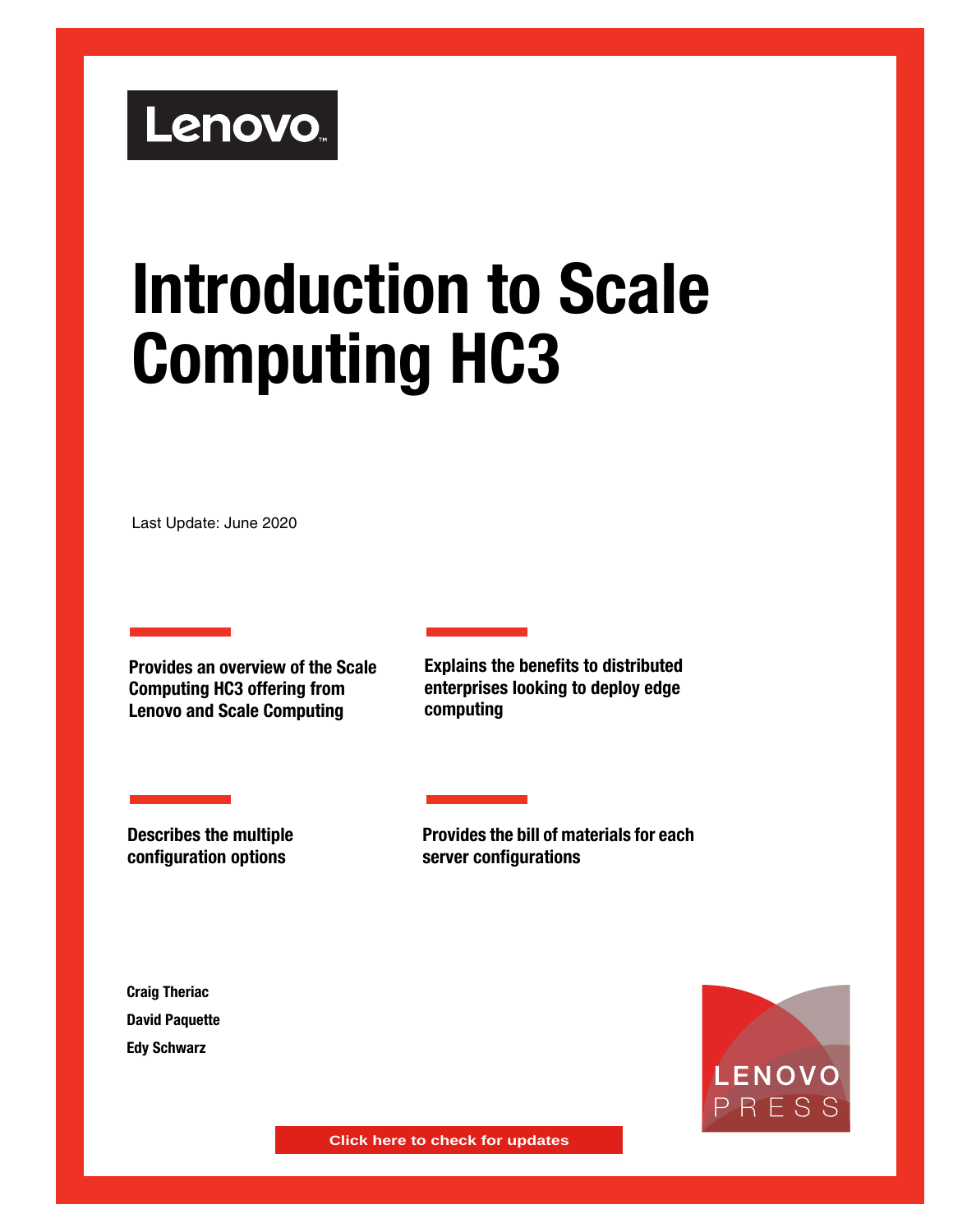# Lenovo.

# **Introduction to Scale Computing HC3**

Last Update: June 2020

**Provides an overview of the Scale Computing HC3 offering from Lenovo and Scale Computing**

**Explains the benefits to distributed enterprises looking to deploy edge computing**

**Describes the multiple configuration options**

**Provides the bill of materials for each server configurations**

**Craig Theriac David Paquette Edy Schwarz**



**Click here to check for updates**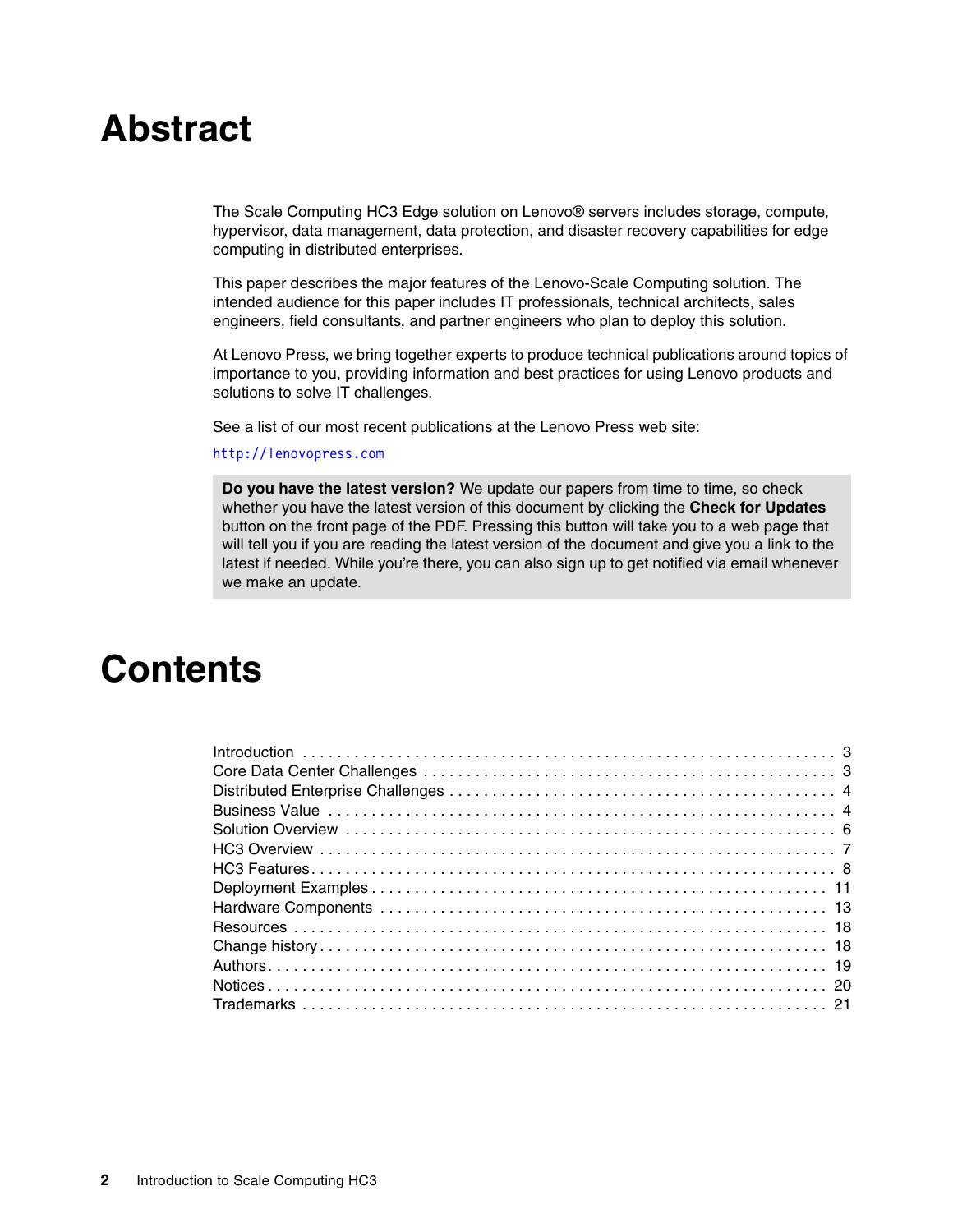# **Abstract**

The Scale Computing HC3 Edge solution on Lenovo® servers includes storage, compute, hypervisor, data management, data protection, and disaster recovery capabilities for edge computing in distributed enterprises.

This paper describes the major features of the Lenovo-Scale Computing solution. The intended audience for this paper includes IT professionals, technical architects, sales engineers, field consultants, and partner engineers who plan to deploy this solution.

At Lenovo Press, we bring together experts to produce technical publications around topics of importance to you, providing information and best practices for using Lenovo products and solutions to solve IT challenges.

See a list of our most recent publications at the Lenovo Press web site:

#### <http://lenovopress.com>

**Do you have the latest version?** We update our papers from time to time, so check whether you have the latest version of this document by clicking the **Check for Updates** button on the front page of the PDF. Pressing this button will take you to a web page that will tell you if you are reading the latest version of the document and give you a link to the latest if needed. While you're there, you can also sign up to get notified via email whenever we make an update.

# **Contents**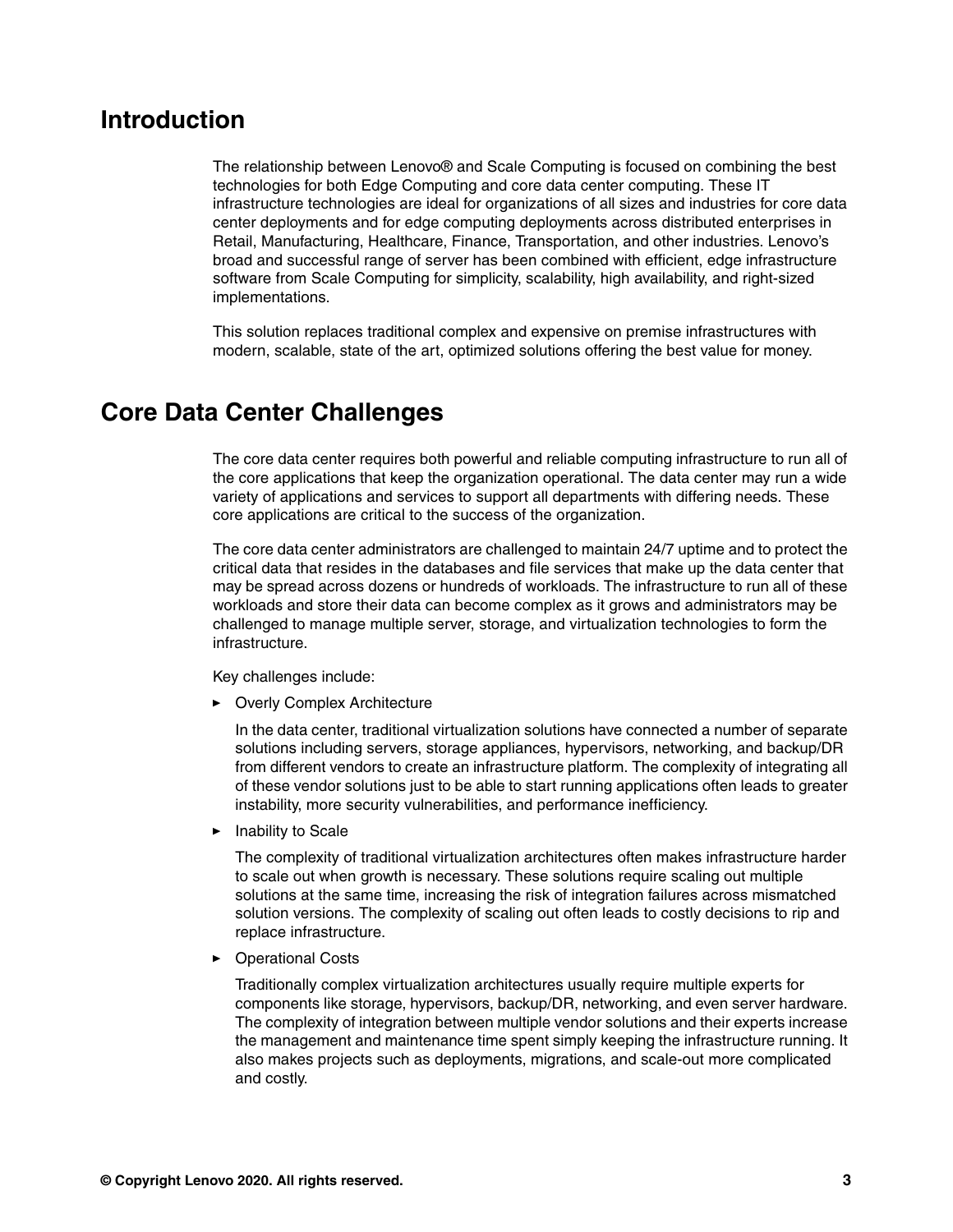## <span id="page-2-0"></span>**Introduction**

The relationship between Lenovo® and Scale Computing is focused on combining the best technologies for both Edge Computing and core data center computing. These IT infrastructure technologies are ideal for organizations of all sizes and industries for core data center deployments and for edge computing deployments across distributed enterprises in Retail, Manufacturing, Healthcare, Finance, Transportation, and other industries. Lenovo's broad and successful range of server has been combined with efficient, edge infrastructure software from Scale Computing for simplicity, scalability, high availability, and right-sized implementations.

This solution replaces traditional complex and expensive on premise infrastructures with modern, scalable, state of the art, optimized solutions offering the best value for money.

## <span id="page-2-1"></span>**Core Data Center Challenges**

The core data center requires both powerful and reliable computing infrastructure to run all of the core applications that keep the organization operational. The data center may run a wide variety of applications and services to support all departments with differing needs. These core applications are critical to the success of the organization.

The core data center administrators are challenged to maintain 24/7 uptime and to protect the critical data that resides in the databases and file services that make up the data center that may be spread across dozens or hundreds of workloads. The infrastructure to run all of these workloads and store their data can become complex as it grows and administrators may be challenged to manage multiple server, storage, and virtualization technologies to form the infrastructure.

Key challenges include:

**Diverly Complex Architecture** 

In the data center, traditional virtualization solutions have connected a number of separate solutions including servers, storage appliances, hypervisors, networking, and backup/DR from different vendors to create an infrastructure platform. The complexity of integrating all of these vendor solutions just to be able to start running applications often leads to greater instability, more security vulnerabilities, and performance inefficiency.

- Inability to Scale

The complexity of traditional virtualization architectures often makes infrastructure harder to scale out when growth is necessary. These solutions require scaling out multiple solutions at the same time, increasing the risk of integration failures across mismatched solution versions. The complexity of scaling out often leads to costly decisions to rip and replace infrastructure.

► Operational Costs

Traditionally complex virtualization architectures usually require multiple experts for components like storage, hypervisors, backup/DR, networking, and even server hardware. The complexity of integration between multiple vendor solutions and their experts increase the management and maintenance time spent simply keeping the infrastructure running. It also makes projects such as deployments, migrations, and scale-out more complicated and costly.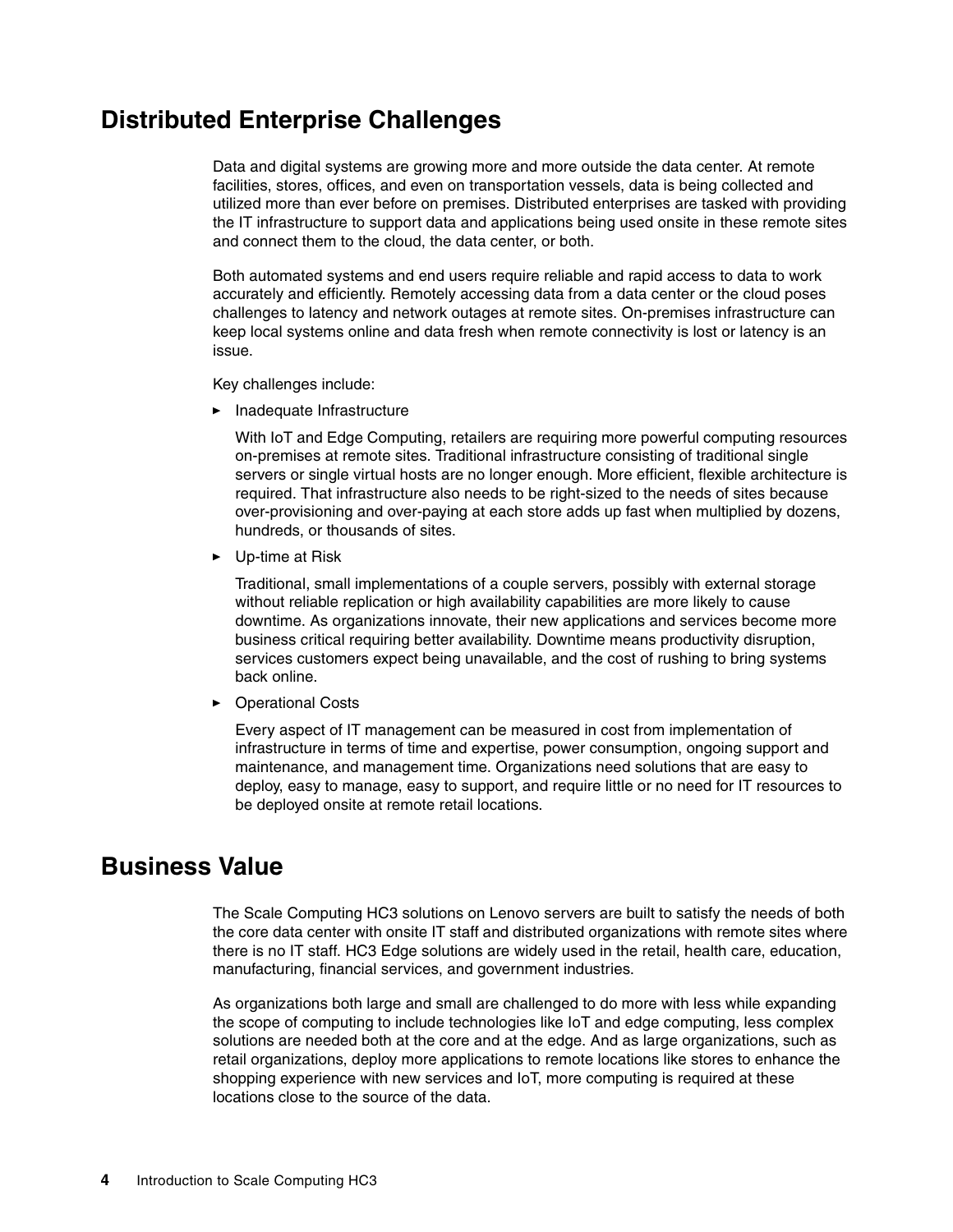# <span id="page-3-0"></span>**Distributed Enterprise Challenges**

Data and digital systems are growing more and more outside the data center. At remote facilities, stores, offices, and even on transportation vessels, data is being collected and utilized more than ever before on premises. Distributed enterprises are tasked with providing the IT infrastructure to support data and applications being used onsite in these remote sites and connect them to the cloud, the data center, or both.

Both automated systems and end users require reliable and rapid access to data to work accurately and efficiently. Remotely accessing data from a data center or the cloud poses challenges to latency and network outages at remote sites. On-premises infrastructure can keep local systems online and data fresh when remote connectivity is lost or latency is an issue.

Key challenges include:

- Inadequate Infrastructure

With IoT and Edge Computing, retailers are requiring more powerful computing resources on-premises at remote sites. Traditional infrastructure consisting of traditional single servers or single virtual hosts are no longer enough. More efficient, flexible architecture is required. That infrastructure also needs to be right-sized to the needs of sites because over-provisioning and over-paying at each store adds up fast when multiplied by dozens, hundreds, or thousands of sites.

► Up-time at Risk

Traditional, small implementations of a couple servers, possibly with external storage without reliable replication or high availability capabilities are more likely to cause downtime. As organizations innovate, their new applications and services become more business critical requiring better availability. Downtime means productivity disruption, services customers expect being unavailable, and the cost of rushing to bring systems back online.

- Operational Costs

Every aspect of IT management can be measured in cost from implementation of infrastructure in terms of time and expertise, power consumption, ongoing support and maintenance, and management time. Organizations need solutions that are easy to deploy, easy to manage, easy to support, and require little or no need for IT resources to be deployed onsite at remote retail locations.

# <span id="page-3-1"></span>**Business Value**

The Scale Computing HC3 solutions on Lenovo servers are built to satisfy the needs of both the core data center with onsite IT staff and distributed organizations with remote sites where there is no IT staff. HC3 Edge solutions are widely used in the retail, health care, education, manufacturing, financial services, and government industries.

As organizations both large and small are challenged to do more with less while expanding the scope of computing to include technologies like IoT and edge computing, less complex solutions are needed both at the core and at the edge. And as large organizations, such as retail organizations, deploy more applications to remote locations like stores to enhance the shopping experience with new services and IoT, more computing is required at these locations close to the source of the data.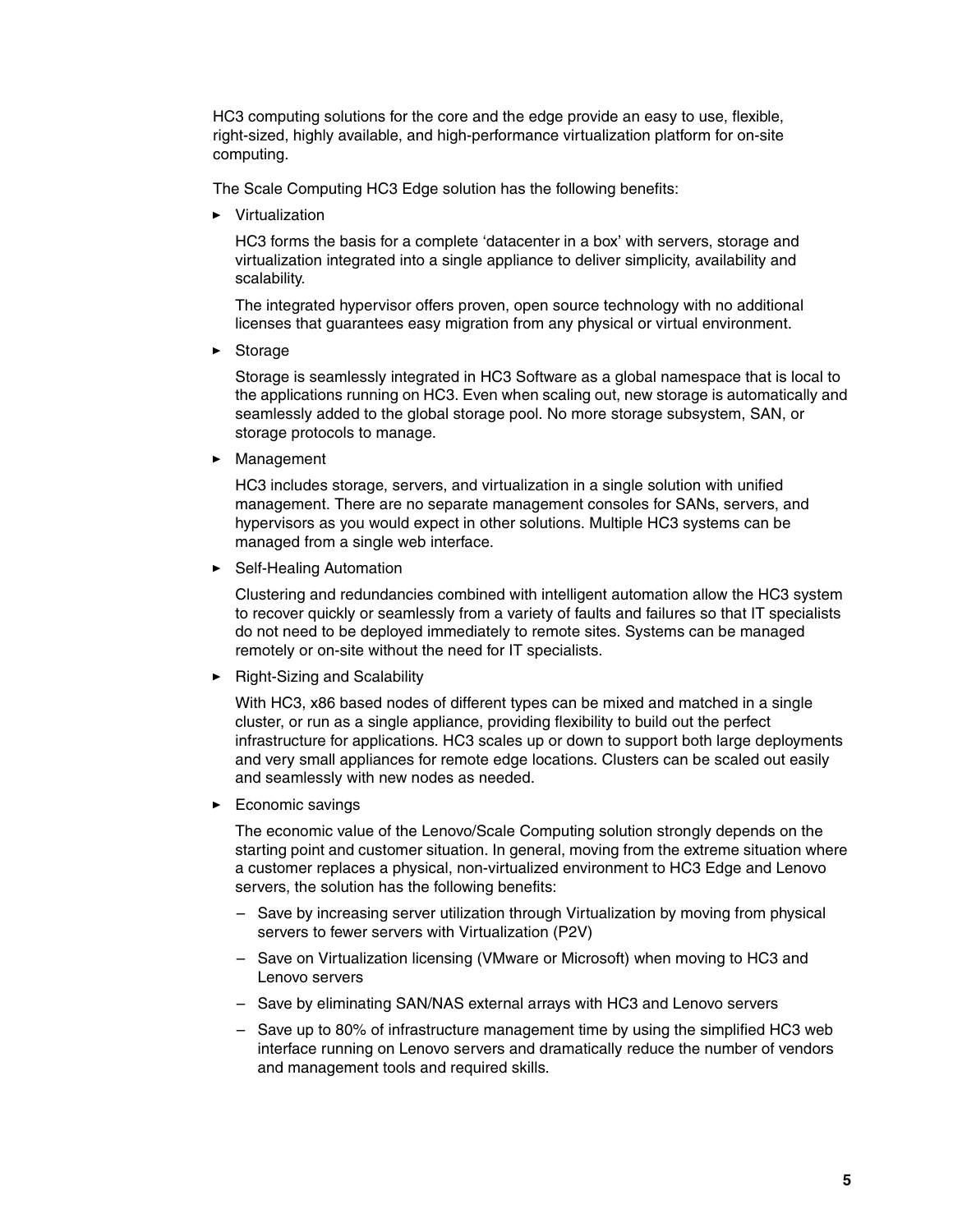HC3 computing solutions for the core and the edge provide an easy to use, flexible, right-sized, highly available, and high-performance virtualization platform for on-site computing.

The Scale Computing HC3 Edge solution has the following benefits:

- Virtualization

HC3 forms the basis for a complete 'datacenter in a box' with servers, storage and virtualization integrated into a single appliance to deliver simplicity, availability and scalability.

The integrated hypervisor offers proven, open source technology with no additional licenses that guarantees easy migration from any physical or virtual environment.

- Storage

Storage is seamlessly integrated in HC3 Software as a global namespace that is local to the applications running on HC3. Even when scaling out, new storage is automatically and seamlessly added to the global storage pool. No more storage subsystem, SAN, or storage protocols to manage.

- Management

HC3 includes storage, servers, and virtualization in a single solution with unified management. There are no separate management consoles for SANs, servers, and hypervisors as you would expect in other solutions. Multiple HC3 systems can be managed from a single web interface.

**EXECTE:** Self-Healing Automation

Clustering and redundancies combined with intelligent automation allow the HC3 system to recover quickly or seamlessly from a variety of faults and failures so that IT specialists do not need to be deployed immediately to remote sites. Systems can be managed remotely or on-site without the need for IT specialists.

► Right-Sizing and Scalability

With HC3, x86 based nodes of different types can be mixed and matched in a single cluster, or run as a single appliance, providing flexibility to build out the perfect infrastructure for applications. HC3 scales up or down to support both large deployments and very small appliances for remote edge locations. Clusters can be scaled out easily and seamlessly with new nodes as needed.

**Economic savings** 

The economic value of the Lenovo/Scale Computing solution strongly depends on the starting point and customer situation. In general, moving from the extreme situation where a customer replaces a physical, non-virtualized environment to HC3 Edge and Lenovo servers, the solution has the following benefits:

- Save by increasing server utilization through Virtualization by moving from physical servers to fewer servers with Virtualization (P2V)
- Save on Virtualization licensing (VMware or Microsoft) when moving to HC3 and Lenovo servers
- Save by eliminating SAN/NAS external arrays with HC3 and Lenovo servers
- Save up to 80% of infrastructure management time by using the simplified HC3 web interface running on Lenovo servers and dramatically reduce the number of vendors and management tools and required skills.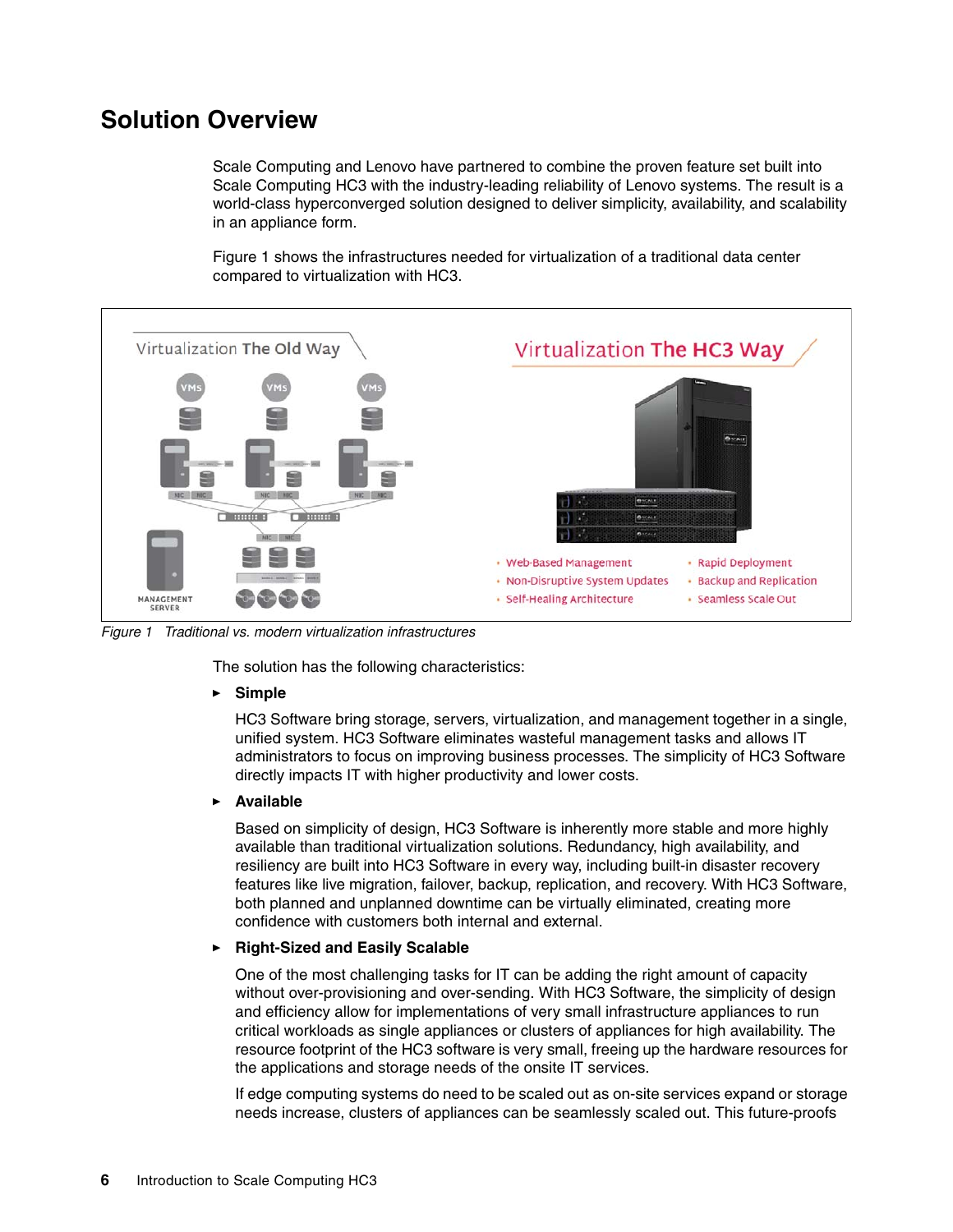# <span id="page-5-0"></span>**Solution Overview**

Scale Computing and Lenovo have partnered to combine the proven feature set built into Scale Computing HC3 with the industry-leading reliability of Lenovo systems. The result is a world-class hyperconverged solution designed to deliver simplicity, availability, and scalability in an appliance form.

[Figure 1](#page-5-1) shows the infrastructures needed for virtualization of a traditional data center compared to virtualization with HC3.



<span id="page-5-1"></span>*Figure 1 Traditional vs. modern virtualization infrastructures*

The solution has the following characteristics:

-**Simple**

> HC3 Software bring storage, servers, virtualization, and management together in a single, unified system. HC3 Software eliminates wasteful management tasks and allows IT administrators to focus on improving business processes. The simplicity of HC3 Software directly impacts IT with higher productivity and lower costs.

#### -**Available**

Based on simplicity of design, HC3 Software is inherently more stable and more highly available than traditional virtualization solutions. Redundancy, high availability, and resiliency are built into HC3 Software in every way, including built-in disaster recovery features like live migration, failover, backup, replication, and recovery. With HC3 Software, both planned and unplanned downtime can be virtually eliminated, creating more confidence with customers both internal and external.

#### -**Right-Sized and Easily Scalable**

One of the most challenging tasks for IT can be adding the right amount of capacity without over-provisioning and over-sending. With HC3 Software, the simplicity of design and efficiency allow for implementations of very small infrastructure appliances to run critical workloads as single appliances or clusters of appliances for high availability. The resource footprint of the HC3 software is very small, freeing up the hardware resources for the applications and storage needs of the onsite IT services.

If edge computing systems do need to be scaled out as on-site services expand or storage needs increase, clusters of appliances can be seamlessly scaled out. This future-proofs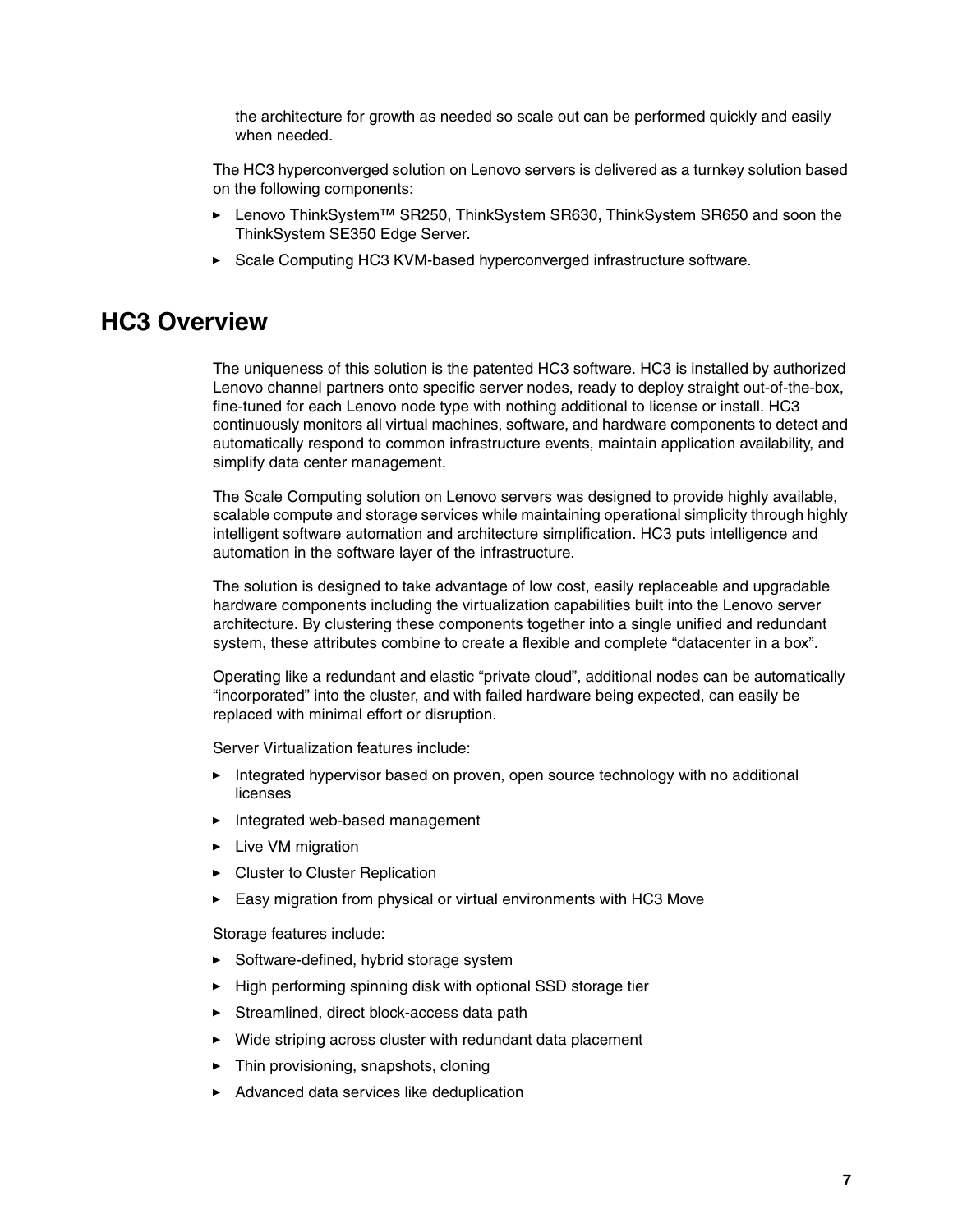the architecture for growth as needed so scale out can be performed quickly and easily when needed.

The HC3 hyperconverged solution on Lenovo servers is delivered as a turnkey solution based on the following components:

- ► Lenovo ThinkSystem™ SR250, ThinkSystem SR630, ThinkSystem SR650 and soon the ThinkSystem SE350 Edge Server.
- ► Scale Computing HC3 KVM-based hyperconverged infrastructure software.

## <span id="page-6-0"></span>**HC3 Overview**

The uniqueness of this solution is the patented HC3 software. HC3 is installed by authorized Lenovo channel partners onto specific server nodes, ready to deploy straight out-of-the-box, fine-tuned for each Lenovo node type with nothing additional to license or install. HC3 continuously monitors all virtual machines, software, and hardware components to detect and automatically respond to common infrastructure events, maintain application availability, and simplify data center management.

The Scale Computing solution on Lenovo servers was designed to provide highly available, scalable compute and storage services while maintaining operational simplicity through highly intelligent software automation and architecture simplification. HC3 puts intelligence and automation in the software layer of the infrastructure.

The solution is designed to take advantage of low cost, easily replaceable and upgradable hardware components including the virtualization capabilities built into the Lenovo server architecture. By clustering these components together into a single unified and redundant system, these attributes combine to create a flexible and complete "datacenter in a box".

Operating like a redundant and elastic "private cloud", additional nodes can be automatically "incorporated" into the cluster, and with failed hardware being expected, can easily be replaced with minimal effort or disruption.

Server Virtualization features include:

- Integrated hypervisor based on proven, open source technology with no additional licenses
- Integrated web-based management
- **E** Live VM migration
- **EX Cluster to Cluster Replication**
- Easy migration from physical or virtual environments with HC3 Move

Storage features include:

- Software-defined, hybrid storage system
- ► High performing spinning disk with optional SSD storage tier
- Streamlined, direct block-access data path
- Wide striping across cluster with redundant data placement
- ► Thin provisioning, snapshots, cloning
- Advanced data services like deduplication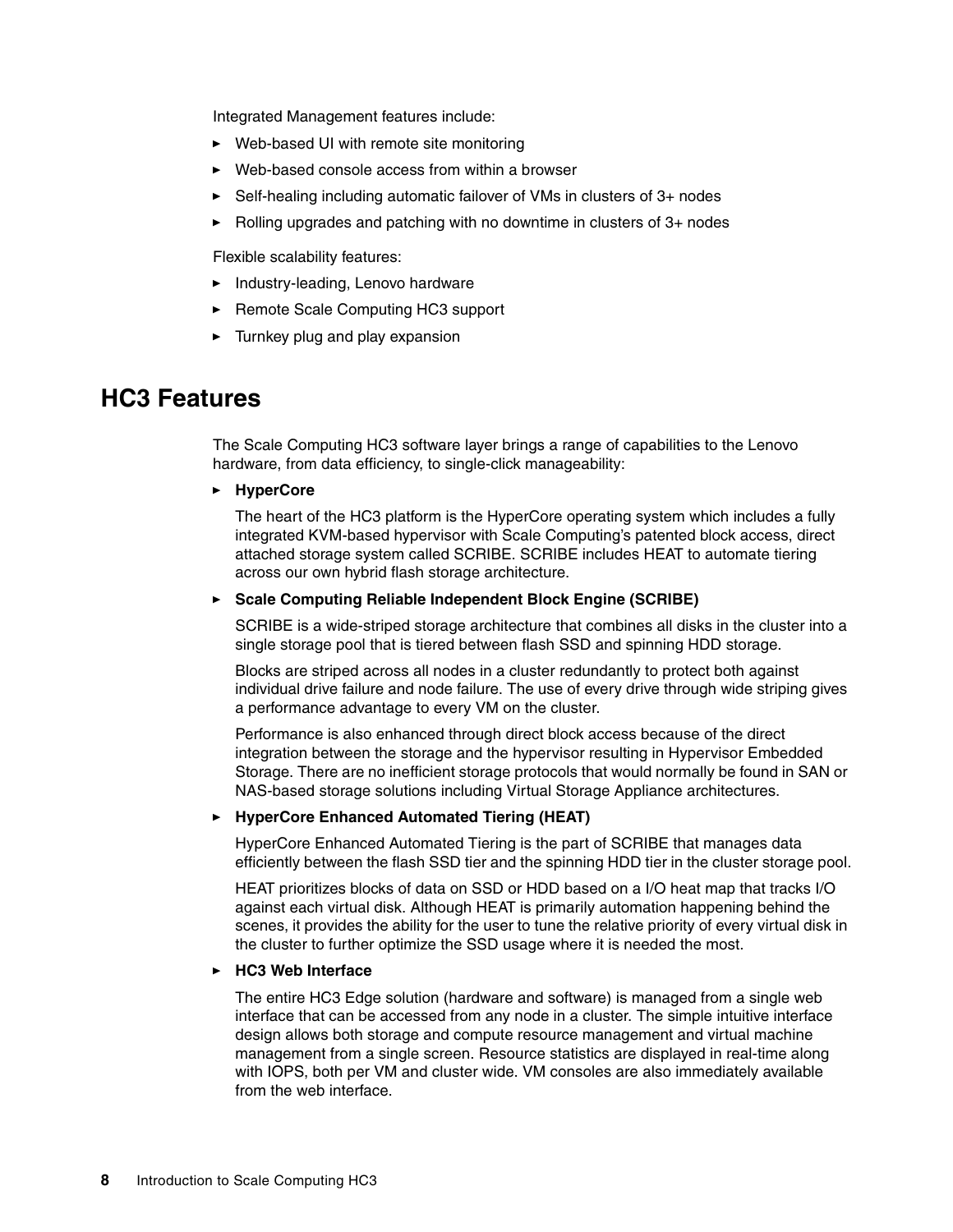Integrated Management features include:

- Web-based UI with remote site monitoring
- Web-based console access from within a browser
- -Self-healing including automatic failover of VMs in clusters of 3+ nodes
- ► Rolling upgrades and patching with no downtime in clusters of 3+ nodes

Flexible scalability features:

- Industry-leading, Lenovo hardware
- ► Remote Scale Computing HC3 support
- -Turnkey plug and play expansion

## <span id="page-7-0"></span>**HC3 Features**

The Scale Computing HC3 software layer brings a range of capabilities to the Lenovo hardware, from data efficiency, to single-click manageability:

#### - **HyperCore**

The heart of the HC3 platform is the HyperCore operating system which includes a fully integrated KVM-based hypervisor with Scale Computing's patented block access, direct attached storage system called SCRIBE. SCRIBE includes HEAT to automate tiering across our own hybrid flash storage architecture.

#### - **Scale Computing Reliable Independent Block Engine (SCRIBE)**

SCRIBE is a wide-striped storage architecture that combines all disks in the cluster into a single storage pool that is tiered between flash SSD and spinning HDD storage.

Blocks are striped across all nodes in a cluster redundantly to protect both against individual drive failure and node failure. The use of every drive through wide striping gives a performance advantage to every VM on the cluster.

Performance is also enhanced through direct block access because of the direct integration between the storage and the hypervisor resulting in Hypervisor Embedded Storage. There are no inefficient storage protocols that would normally be found in SAN or NAS-based storage solutions including Virtual Storage Appliance architectures.

#### - **HyperCore Enhanced Automated Tiering (HEAT)**

HyperCore Enhanced Automated Tiering is the part of SCRIBE that manages data efficiently between the flash SSD tier and the spinning HDD tier in the cluster storage pool.

HEAT prioritizes blocks of data on SSD or HDD based on a I/O heat map that tracks I/O against each virtual disk. Although HEAT is primarily automation happening behind the scenes, it provides the ability for the user to tune the relative priority of every virtual disk in the cluster to further optimize the SSD usage where it is needed the most.

#### -**HC3 Web Interface**

The entire HC3 Edge solution (hardware and software) is managed from a single web interface that can be accessed from any node in a cluster. The simple intuitive interface design allows both storage and compute resource management and virtual machine management from a single screen. Resource statistics are displayed in real-time along with IOPS, both per VM and cluster wide. VM consoles are also immediately available from the web interface.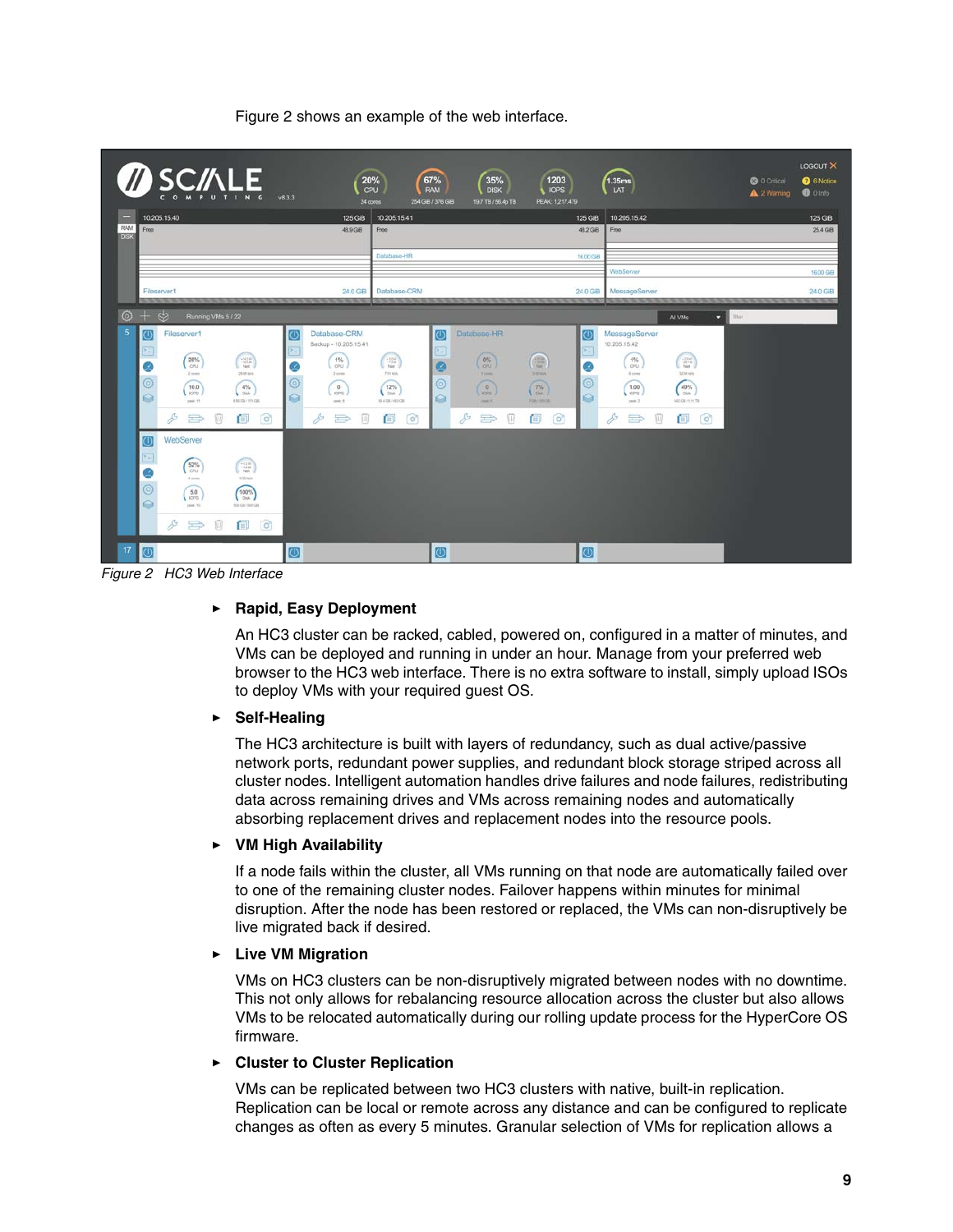[Figure 2](#page-8-0) shows an example of the web interface.



*Figure 2 HC3 Web Interface* 

### <span id="page-8-0"></span>- **Rapid, Easy Deployment**

An HC3 cluster can be racked, cabled, powered on, configured in a matter of minutes, and VMs can be deployed and running in under an hour. Manage from your preferred web browser to the HC3 web interface. There is no extra software to install, simply upload ISOs to deploy VMs with your required guest OS.

#### $\blacktriangleright$ **Self-Healing**

The HC3 architecture is built with layers of redundancy, such as dual active/passive network ports, redundant power supplies, and redundant block storage striped across all cluster nodes. Intelligent automation handles drive failures and node failures, redistributing data across remaining drives and VMs across remaining nodes and automatically absorbing replacement drives and replacement nodes into the resource pools.

#### $\blacktriangleright$ **VM High Availability**

If a node fails within the cluster, all VMs running on that node are automatically failed over to one of the remaining cluster nodes. Failover happens within minutes for minimal disruption. After the node has been restored or replaced, the VMs can non-disruptively be live migrated back if desired.

#### - **Live VM Migration**

VMs on HC3 clusters can be non-disruptively migrated between nodes with no downtime. This not only allows for rebalancing resource allocation across the cluster but also allows VMs to be relocated automatically during our rolling update process for the HyperCore OS firmware.

#### -**Cluster to Cluster Replication**

VMs can be replicated between two HC3 clusters with native, built-in replication. Replication can be local or remote across any distance and can be configured to replicate changes as often as every 5 minutes. Granular selection of VMs for replication allows a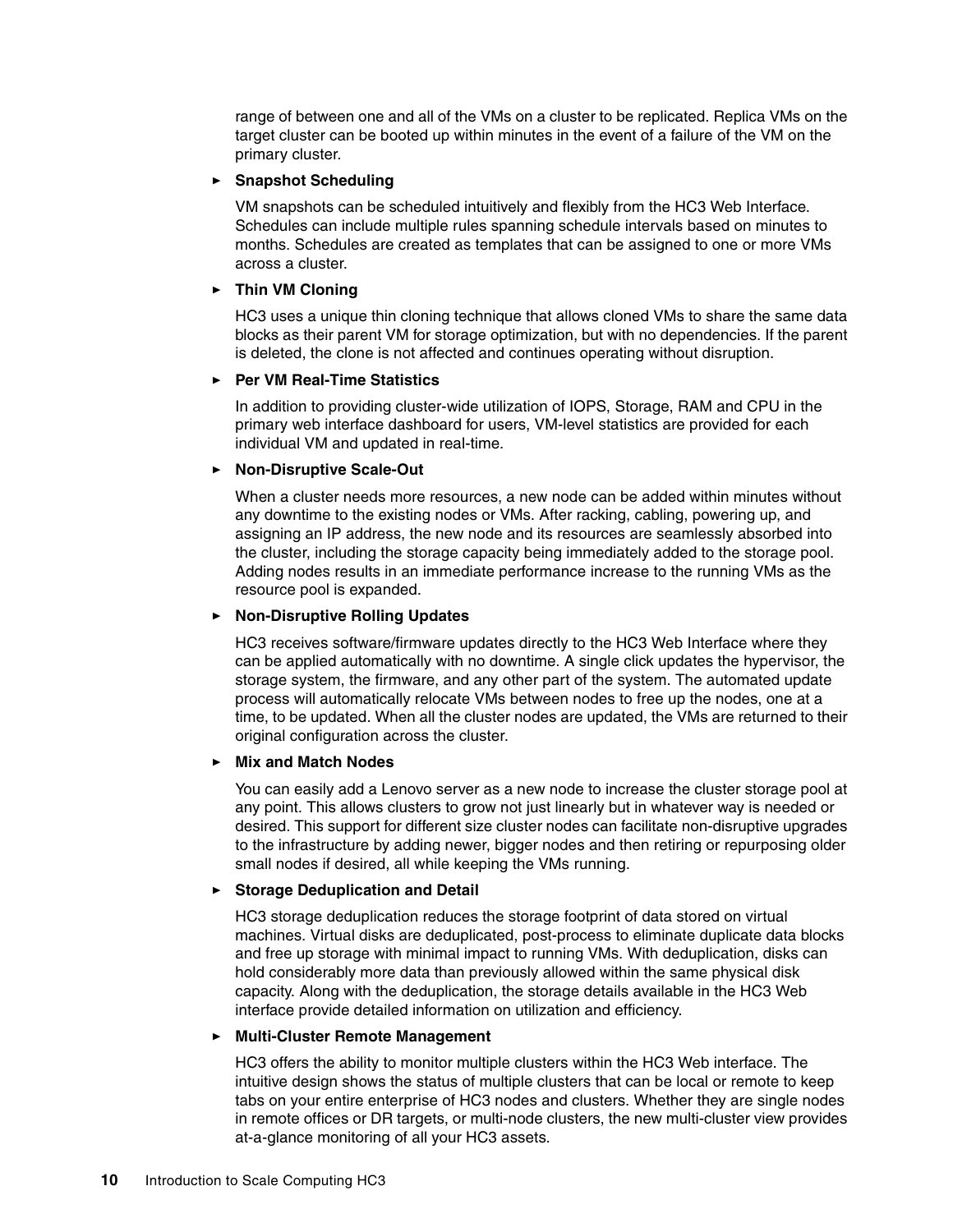range of between one and all of the VMs on a cluster to be replicated. Replica VMs on the target cluster can be booted up within minutes in the event of a failure of the VM on the primary cluster.

#### - **Snapshot Scheduling**

VM snapshots can be scheduled intuitively and flexibly from the HC3 Web Interface. Schedules can include multiple rules spanning schedule intervals based on minutes to months. Schedules are created as templates that can be assigned to one or more VMs across a cluster.

#### - **Thin VM Cloning**

HC3 uses a unique thin cloning technique that allows cloned VMs to share the same data blocks as their parent VM for storage optimization, but with no dependencies. If the parent is deleted, the clone is not affected and continues operating without disruption.

#### -**Per VM Real-Time Statistics**

In addition to providing cluster-wide utilization of IOPS, Storage, RAM and CPU in the primary web interface dashboard for users, VM-level statistics are provided for each individual VM and updated in real-time.

#### - **Non-Disruptive Scale-Out**

When a cluster needs more resources, a new node can be added within minutes without any downtime to the existing nodes or VMs. After racking, cabling, powering up, and assigning an IP address, the new node and its resources are seamlessly absorbed into the cluster, including the storage capacity being immediately added to the storage pool. Adding nodes results in an immediate performance increase to the running VMs as the resource pool is expanded.

#### - **Non-Disruptive Rolling Updates**

HC3 receives software/firmware updates directly to the HC3 Web Interface where they can be applied automatically with no downtime. A single click updates the hypervisor, the storage system, the firmware, and any other part of the system. The automated update process will automatically relocate VMs between nodes to free up the nodes, one at a time, to be updated. When all the cluster nodes are updated, the VMs are returned to their original configuration across the cluster.

#### - **Mix and Match Nodes**

You can easily add a Lenovo server as a new node to increase the cluster storage pool at any point. This allows clusters to grow not just linearly but in whatever way is needed or desired. This support for different size cluster nodes can facilitate non-disruptive upgrades to the infrastructure by adding newer, bigger nodes and then retiring or repurposing older small nodes if desired, all while keeping the VMs running.

#### -**Storage Deduplication and Detail**

HC3 storage deduplication reduces the storage footprint of data stored on virtual machines. Virtual disks are deduplicated, post-process to eliminate duplicate data blocks and free up storage with minimal impact to running VMs. With deduplication, disks can hold considerably more data than previously allowed within the same physical disk capacity. Along with the deduplication, the storage details available in the HC3 Web interface provide detailed information on utilization and efficiency.

#### -**Multi-Cluster Remote Management**

HC3 offers the ability to monitor multiple clusters within the HC3 Web interface. The intuitive design shows the status of multiple clusters that can be local or remote to keep tabs on your entire enterprise of HC3 nodes and clusters. Whether they are single nodes in remote offices or DR targets, or multi-node clusters, the new multi-cluster view provides at-a-glance monitoring of all your HC3 assets.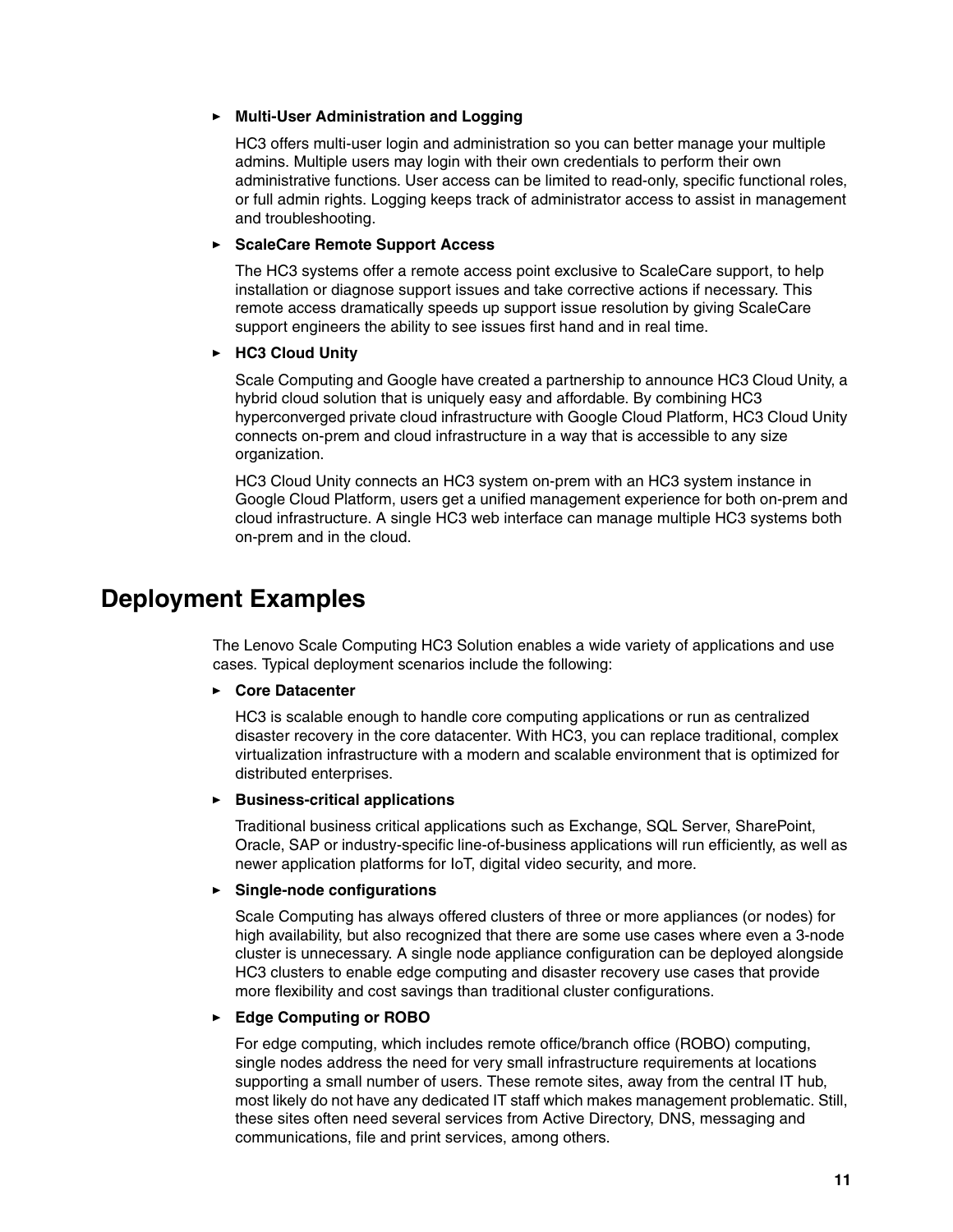#### - **Multi-User Administration and Logging**

HC3 offers multi-user login and administration so you can better manage your multiple admins. Multiple users may login with their own credentials to perform their own administrative functions. User access can be limited to read-only, specific functional roles, or full admin rights. Logging keeps track of administrator access to assist in management and troubleshooting.

#### - **ScaleCare Remote Support Access**

The HC3 systems offer a remote access point exclusive to ScaleCare support, to help installation or diagnose support issues and take corrective actions if necessary. This remote access dramatically speeds up support issue resolution by giving ScaleCare support engineers the ability to see issues first hand and in real time.

#### - **HC3 Cloud Unity**

Scale Computing and Google have created a partnership to announce HC3 Cloud Unity, a hybrid cloud solution that is uniquely easy and affordable. By combining HC3 hyperconverged private cloud infrastructure with Google Cloud Platform, HC3 Cloud Unity connects on-prem and cloud infrastructure in a way that is accessible to any size organization.

HC3 Cloud Unity connects an HC3 system on-prem with an HC3 system instance in Google Cloud Platform, users get a unified management experience for both on-prem and cloud infrastructure. A single HC3 web interface can manage multiple HC3 systems both on-prem and in the cloud.

## <span id="page-10-0"></span>**Deployment Examples**

The Lenovo Scale Computing HC3 Solution enables a wide variety of applications and use cases. Typical deployment scenarios include the following:

#### -**Core Datacenter**

HC3 is scalable enough to handle core computing applications or run as centralized disaster recovery in the core datacenter. With HC3, you can replace traditional, complex virtualization infrastructure with a modern and scalable environment that is optimized for distributed enterprises.

#### - **Business-critical applications**

Traditional business critical applications such as Exchange, SQL Server, SharePoint, Oracle, SAP or industry-specific line-of-business applications will run efficiently, as well as newer application platforms for IoT, digital video security, and more.

#### - **Single-node configurations**

Scale Computing has always offered clusters of three or more appliances (or nodes) for high availability, but also recognized that there are some use cases where even a 3-node cluster is unnecessary. A single node appliance configuration can be deployed alongside HC3 clusters to enable edge computing and disaster recovery use cases that provide more flexibility and cost savings than traditional cluster configurations.

#### - **Edge Computing or ROBO**

For edge computing, which includes remote office/branch office (ROBO) computing, single nodes address the need for very small infrastructure requirements at locations supporting a small number of users. These remote sites, away from the central IT hub, most likely do not have any dedicated IT staff which makes management problematic. Still, these sites often need several services from Active Directory, DNS, messaging and communications, file and print services, among others.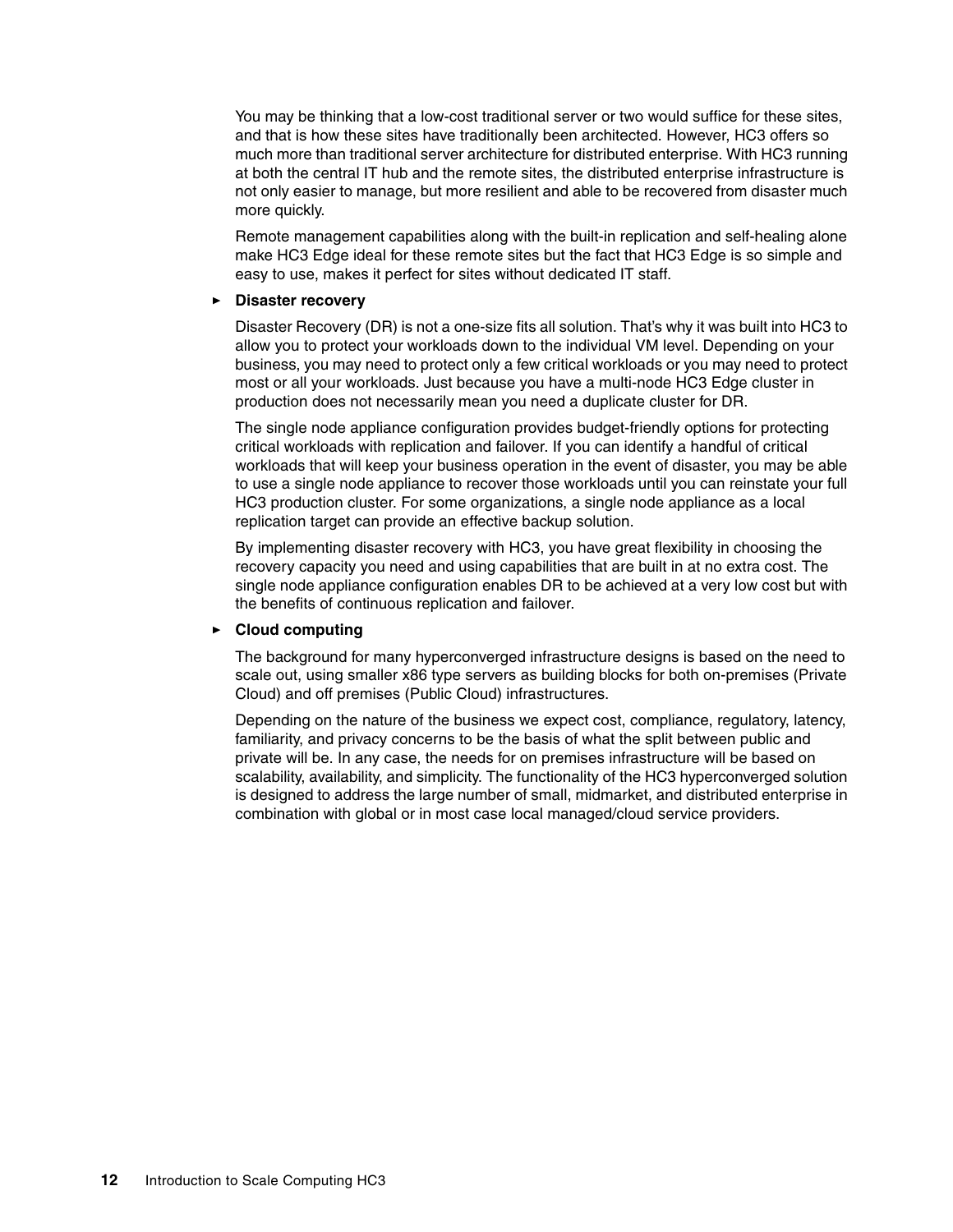You may be thinking that a low-cost traditional server or two would suffice for these sites, and that is how these sites have traditionally been architected. However, HC3 offers so much more than traditional server architecture for distributed enterprise. With HC3 running at both the central IT hub and the remote sites, the distributed enterprise infrastructure is not only easier to manage, but more resilient and able to be recovered from disaster much more quickly.

Remote management capabilities along with the built-in replication and self-healing alone make HC3 Edge ideal for these remote sites but the fact that HC3 Edge is so simple and easy to use, makes it perfect for sites without dedicated IT staff.

#### -**Disaster recovery**

Disaster Recovery (DR) is not a one-size fits all solution. That's why it was built into HC3 to allow you to protect your workloads down to the individual VM level. Depending on your business, you may need to protect only a few critical workloads or you may need to protect most or all your workloads. Just because you have a multi-node HC3 Edge cluster in production does not necessarily mean you need a duplicate cluster for DR.

The single node appliance configuration provides budget-friendly options for protecting critical workloads with replication and failover. If you can identify a handful of critical workloads that will keep your business operation in the event of disaster, you may be able to use a single node appliance to recover those workloads until you can reinstate your full HC3 production cluster. For some organizations, a single node appliance as a local replication target can provide an effective backup solution.

By implementing disaster recovery with HC3, you have great flexibility in choosing the recovery capacity you need and using capabilities that are built in at no extra cost. The single node appliance configuration enables DR to be achieved at a very low cost but with the benefits of continuous replication and failover.

#### - **Cloud computing**

The background for many hyperconverged infrastructure designs is based on the need to scale out, using smaller x86 type servers as building blocks for both on-premises (Private Cloud) and off premises (Public Cloud) infrastructures.

Depending on the nature of the business we expect cost, compliance, regulatory, latency, familiarity, and privacy concerns to be the basis of what the split between public and private will be. In any case, the needs for on premises infrastructure will be based on scalability, availability, and simplicity. The functionality of the HC3 hyperconverged solution is designed to address the large number of small, midmarket, and distributed enterprise in combination with global or in most case local managed/cloud service providers.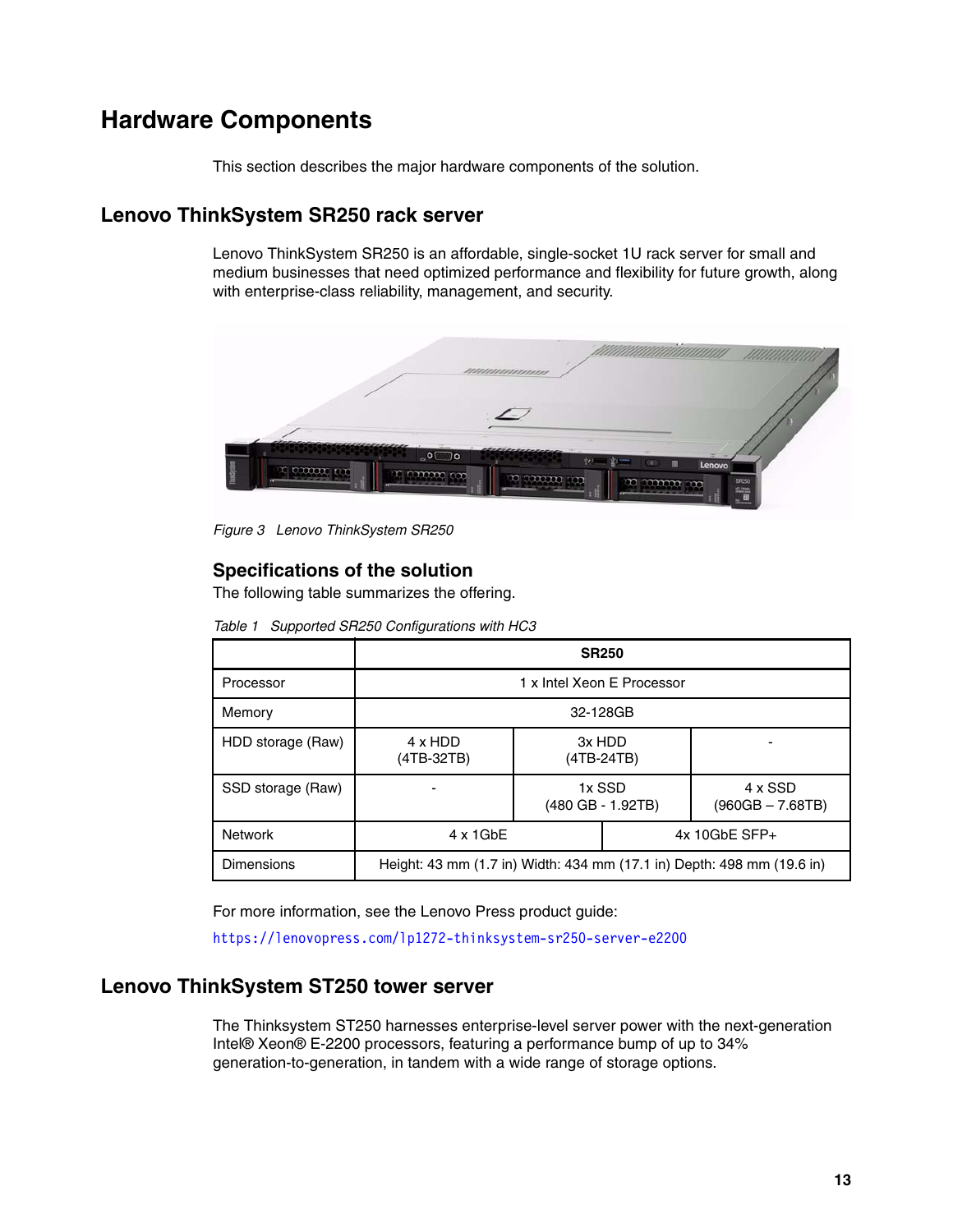# <span id="page-12-0"></span>**Hardware Components**

This section describes the major hardware components of the solution.

## **Lenovo ThinkSystem SR250 rack server**

Lenovo ThinkSystem SR250 is an affordable, single-socket 1U rack server for small and medium businesses that need optimized performance and flexibility for future growth, along with enterprise-class reliability, management, and security.



*Figure 3 Lenovo ThinkSystem SR250*

### **Specifications of the solution**

The following table summarizes the offering.

|                   |                                                                        |        | <b>SR250</b>                |                               |
|-------------------|------------------------------------------------------------------------|--------|-----------------------------|-------------------------------|
| Processor         | 1 x Intel Xeon E Processor                                             |        |                             |                               |
| Memory            | 32-128GB                                                               |        |                             |                               |
| HDD storage (Raw) | 4 x HDD<br>$(4TB-32TB)$                                                | 3x HDD | (4TB-24TB)                  |                               |
| SSD storage (Raw) |                                                                        |        | 1x SSD<br>(480 GB - 1.92TB) | 4 x SSD<br>$(960GB - 7.68TB)$ |
| <b>Network</b>    | $4 \times 1$ GbE                                                       |        | $4x$ 10GbE SFP+             |                               |
| Dimensions        | Height: 43 mm (1.7 in) Width: 434 mm (17.1 in) Depth: 498 mm (19.6 in) |        |                             |                               |

*Table 1 Supported SR250 Configurations with HC3*

For more information, see the Lenovo Press product guide:

<https://lenovopress.com/lp1272-thinksystem-sr250-server-e2200>

## **Lenovo ThinkSystem ST250 tower server**

The Thinksystem ST250 harnesses enterprise-level server power with the next-generation Intel® Xeon® E-2200 processors, featuring a performance bump of up to 34% generation-to-generation, in tandem with a wide range of storage options.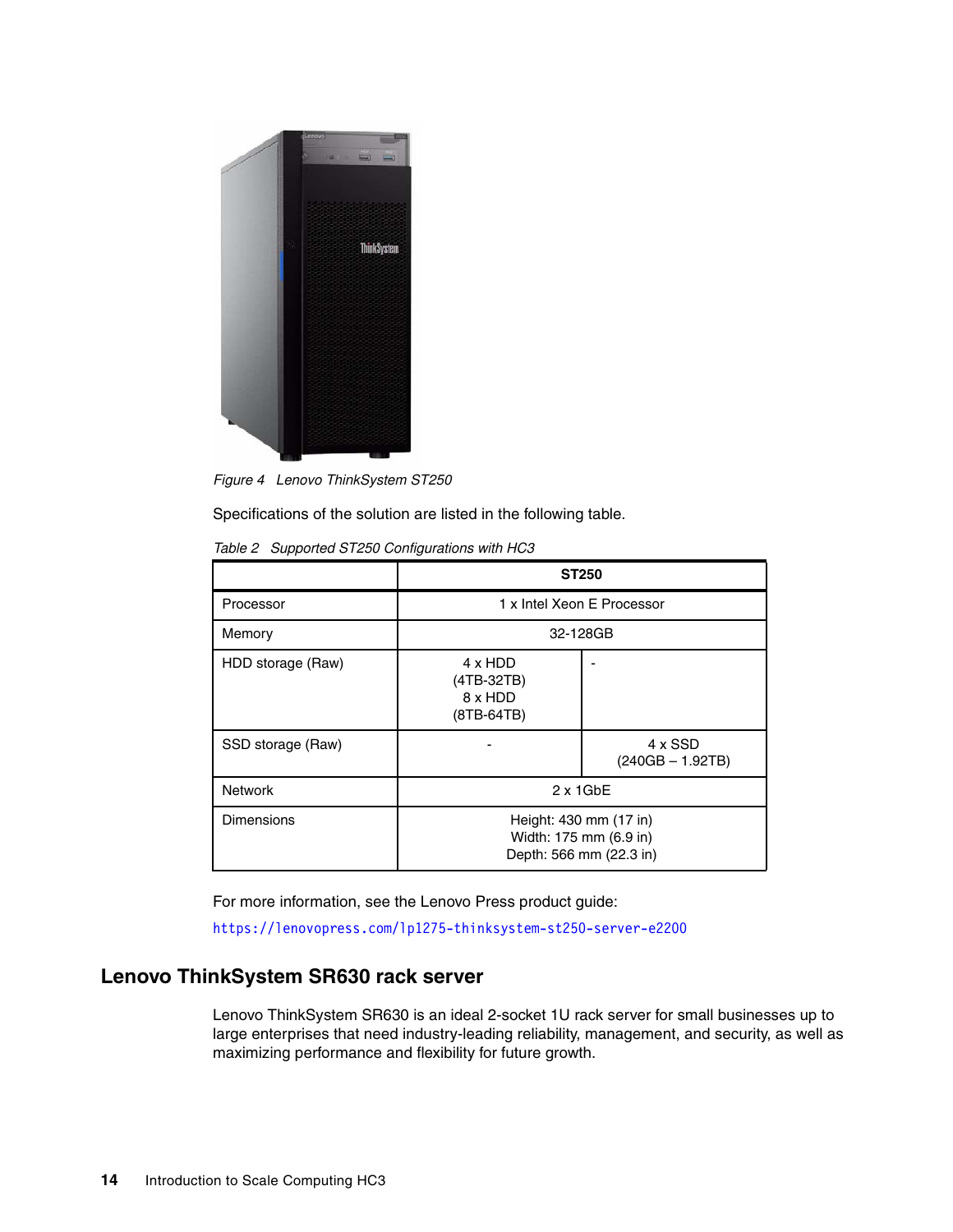

*Figure 4 Lenovo ThinkSystem ST250*

Specifications of the solution are listed in the following table.

|                   | <b>ST250</b>                                                                |                               |
|-------------------|-----------------------------------------------------------------------------|-------------------------------|
| Processor         | 1 x Intel Xeon E Processor                                                  |                               |
| Memory            | 32-128GB                                                                    |                               |
| HDD storage (Raw) | 4 x HDD<br>(4TB-32TB)<br>8 x HDD<br>(8TB-64TB)                              |                               |
| SSD storage (Raw) |                                                                             | 4 x SSD<br>$(240GB - 1.92TB)$ |
| <b>Network</b>    | $2 \times 1$ GbE                                                            |                               |
| <b>Dimensions</b> | Height: 430 mm (17 in)<br>Width: 175 mm (6.9 in)<br>Depth: 566 mm (22.3 in) |                               |

*Table 2 Supported ST250 Configurations with HC3*

For more information, see the Lenovo Press product guide:

<https://lenovopress.com/lp1275-thinksystem-st250-server-e2200>

## **Lenovo ThinkSystem SR630 rack server**

Lenovo ThinkSystem SR630 is an ideal 2-socket 1U rack server for small businesses up to large enterprises that need industry-leading reliability, management, and security, as well as maximizing performance and flexibility for future growth.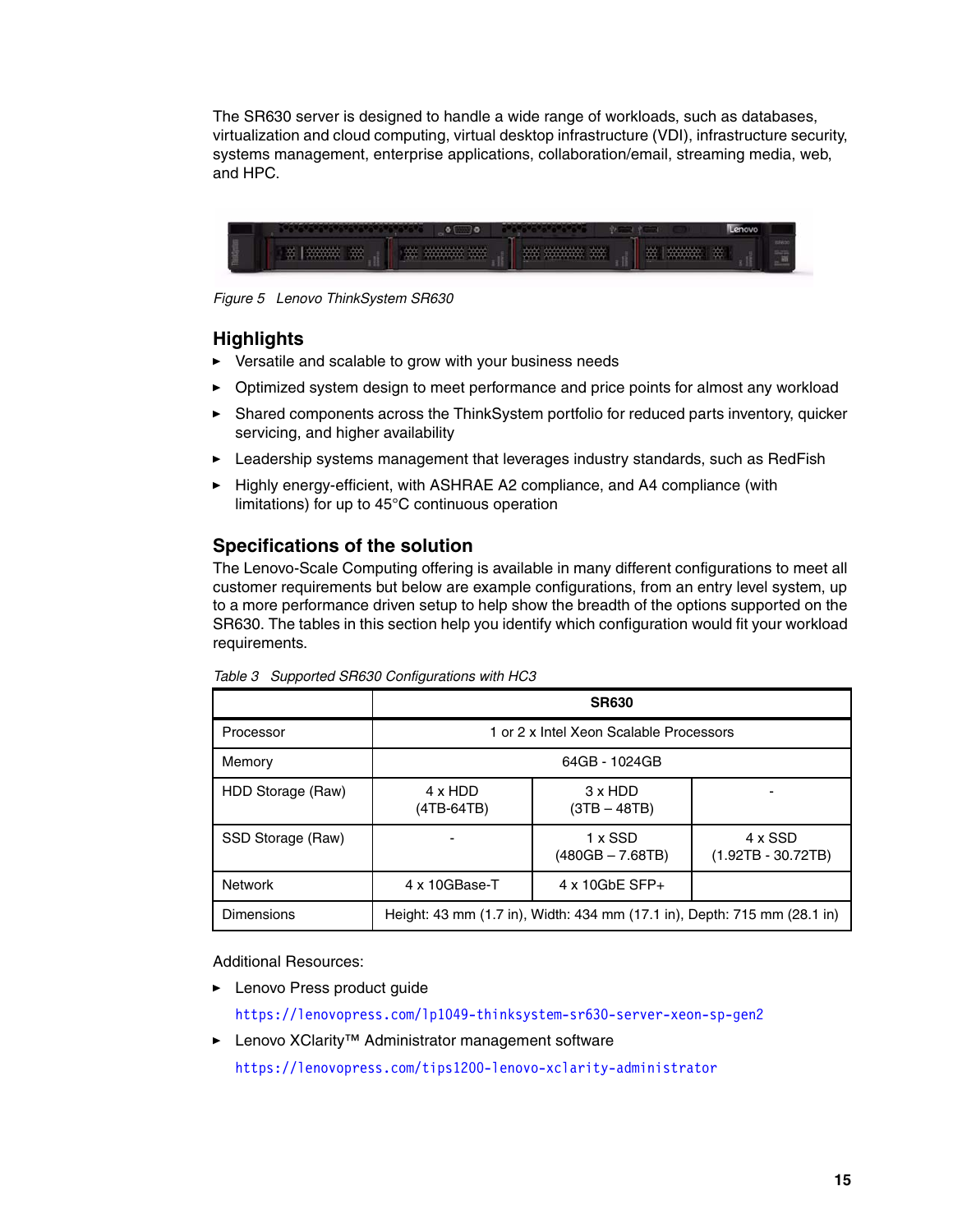The SR630 server is designed to handle a wide range of workloads, such as databases, virtualization and cloud computing, virtual desktop infrastructure (VDI), infrastructure security, systems management, enterprise applications, collaboration/email, streaming media, web, and HPC.



*Figure 5 Lenovo ThinkSystem SR630*

## **Highlights**

- Versatile and scalable to grow with your business needs
- ► Optimized system design to meet performance and price points for almost any workload
- - Shared components across the ThinkSystem portfolio for reduced parts inventory, quicker servicing, and higher availability
- -Leadership systems management that leverages industry standards, such as RedFish
- ► Highly energy-efficient, with ASHRAE A2 compliance, and A4 compliance (with limitations) for up to 45°C continuous operation

## **Specifications of the solution**

The Lenovo-Scale Computing offering is available in many different configurations to meet all customer requirements but below are example configurations, from an entry level system, up to a more performance driven setup to help show the breadth of the options supported on the SR630. The tables in this section help you identify which configuration would fit your workload requirements.

|                   | <b>SR630</b>                                                             |                                  |                                        |
|-------------------|--------------------------------------------------------------------------|----------------------------------|----------------------------------------|
| Processor         | 1 or 2 x Intel Xeon Scalable Processors                                  |                                  |                                        |
| Memory            | 64GB - 1024GB                                                            |                                  |                                        |
| HDD Storage (Raw) | 4 x HDD<br>(4TB-64TB)                                                    | $3 \times HDD$<br>$(3TB - 48TB)$ |                                        |
| SSD Storage (Raw) |                                                                          | 1 x SSD<br>$(480GB - 7.68TB)$    | $4 \times$ SSD<br>$(1.92TB - 30.72TB)$ |
| <b>Network</b>    | 4 x 10GBase-T                                                            | $4 \times 10$ GbE SFP+           |                                        |
| <b>Dimensions</b> | Height: 43 mm (1.7 in), Width: 434 mm (17.1 in), Depth: 715 mm (28.1 in) |                                  |                                        |

*Table 3 Supported SR630 Configurations with HC3*

Additional Resources:

► Lenovo Press product guide

<https://lenovopress.com/lp1049-thinksystem-sr630-server-xeon-sp-gen2>

- Lenovo XClarity™ Administrator management software

<https://lenovopress.com/tips1200-lenovo-xclarity-administrator>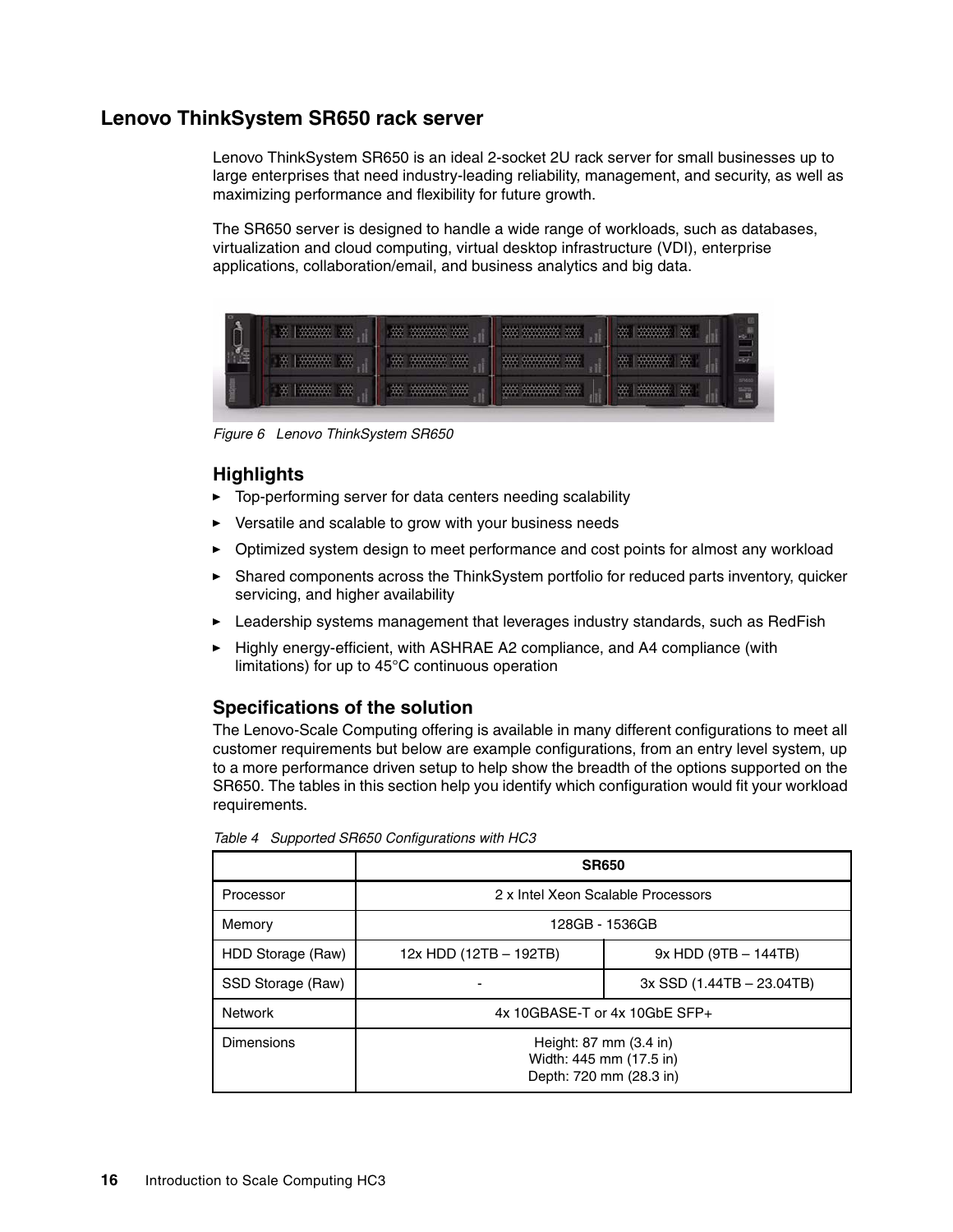## **Lenovo ThinkSystem SR650 rack server**

Lenovo ThinkSystem SR650 is an ideal 2-socket 2U rack server for small businesses up to large enterprises that need industry-leading reliability, management, and security, as well as maximizing performance and flexibility for future growth.

The SR650 server is designed to handle a wide range of workloads, such as databases, virtualization and cloud computing, virtual desktop infrastructure (VDI), enterprise applications, collaboration/email, and business analytics and big data.



*Figure 6 Lenovo ThinkSystem SR650*

## **Highlights**

- -Top-performing server for data centers needing scalability
- -Versatile and scalable to grow with your business needs
- -Optimized system design to meet performance and cost points for almost any workload
- - Shared components across the ThinkSystem portfolio for reduced parts inventory, quicker servicing, and higher availability
- -Leadership systems management that leverages industry standards, such as RedFish
- $\blacktriangleright$  Highly energy-efficient, with ASHRAE A2 compliance, and A4 compliance (with limitations) for up to 45°C continuous operation

## **Specifications of the solution**

The Lenovo-Scale Computing offering is available in many different configurations to meet all customer requirements but below are example configurations, from an entry level system, up to a more performance driven setup to help show the breadth of the options supported on the SR650. The tables in this section help you identify which configuration would fit your workload requirements.

|                   | <b>SR650</b>                                                                 |                               |  |
|-------------------|------------------------------------------------------------------------------|-------------------------------|--|
| Processor         | 2 x Intel Xeon Scalable Processors                                           |                               |  |
| Memory            | 128GB - 1536GB                                                               |                               |  |
| HDD Storage (Raw) | 12x HDD (12TB - 192TB)                                                       | $9x$ HDD (9TB $-$ 144TB)      |  |
| SSD Storage (Raw) |                                                                              | $3x$ SSD $(1.44TB - 23.04TB)$ |  |
| <b>Network</b>    | $4x$ 10GBASE-T or $4x$ 10GbE SFP+                                            |                               |  |
| Dimensions        | Height: 87 mm (3.4 in)<br>Width: 445 mm (17.5 in)<br>Depth: 720 mm (28.3 in) |                               |  |

*Table 4 Supported SR650 Configurations with HC3*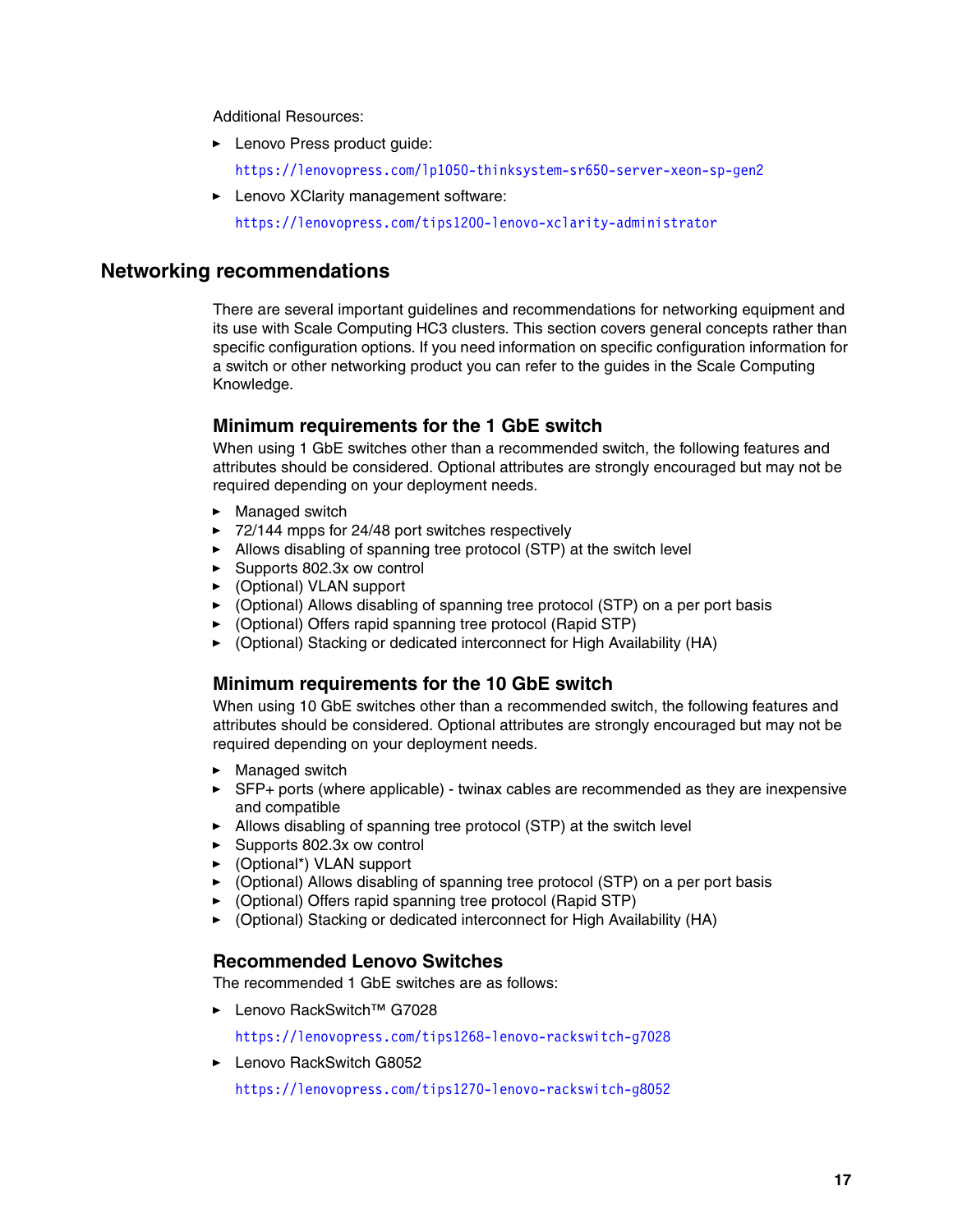Additional Resources:

- **Lenovo Press product guide:** 
	- <https://lenovopress.com/lp1050-thinksystem-sr650-server-xeon-sp-gen2>
- Lenovo XClarity management software:

<https://lenovopress.com/tips1200-lenovo-xclarity-administrator>

## **Networking recommendations**

There are several important guidelines and recommendations for networking equipment and its use with Scale Computing HC3 clusters. This section covers general concepts rather than specific configuration options. If you need information on specific configuration information for a switch or other networking product you can refer to the guides in the Scale Computing Knowledge.

#### **Minimum requirements for the 1 GbE switch**

When using 1 GbE switches other than a recommended switch, the following features and attributes should be considered. Optional attributes are strongly encouraged but may not be required depending on your deployment needs.

- Managed switch
- ► 72/144 mpps for 24/48 port switches respectively
- ► Allows disabling of spanning tree protocol (STP) at the switch level
- ► Supports 802.3x ow control
- ► (Optional) VLAN support
- ► (Optional) Allows disabling of spanning tree protocol (STP) on a per port basis
- ► (Optional) Offers rapid spanning tree protocol (Rapid STP)
- ► (Optional) Stacking or dedicated interconnect for High Availability (HA)

#### **Minimum requirements for the 10 GbE switch**

When using 10 GbE switches other than a recommended switch, the following features and attributes should be considered. Optional attributes are strongly encouraged but may not be required depending on your deployment needs.

- Managed switch
- ► SFP+ ports (where applicable) twinax cables are recommended as they are inexpensive and compatible
- ► Allows disabling of spanning tree protocol (STP) at the switch level
- ► Supports 802.3x ow control
- ► (Optional\*) VLAN support
- ► (Optional) Allows disabling of spanning tree protocol (STP) on a per port basis
- ► (Optional) Offers rapid spanning tree protocol (Rapid STP)
- ► (Optional) Stacking or dedicated interconnect for High Availability (HA)

#### **Recommended Lenovo Switches**

The recommended 1 GbE switches are as follows:

- Lenovo RackSwitch™ G7028

<https://lenovopress.com/tips1268-lenovo-rackswitch-g7028>

► Lenovo RackSwitch G8052

<https://lenovopress.com/tips1270-lenovo-rackswitch-g8052>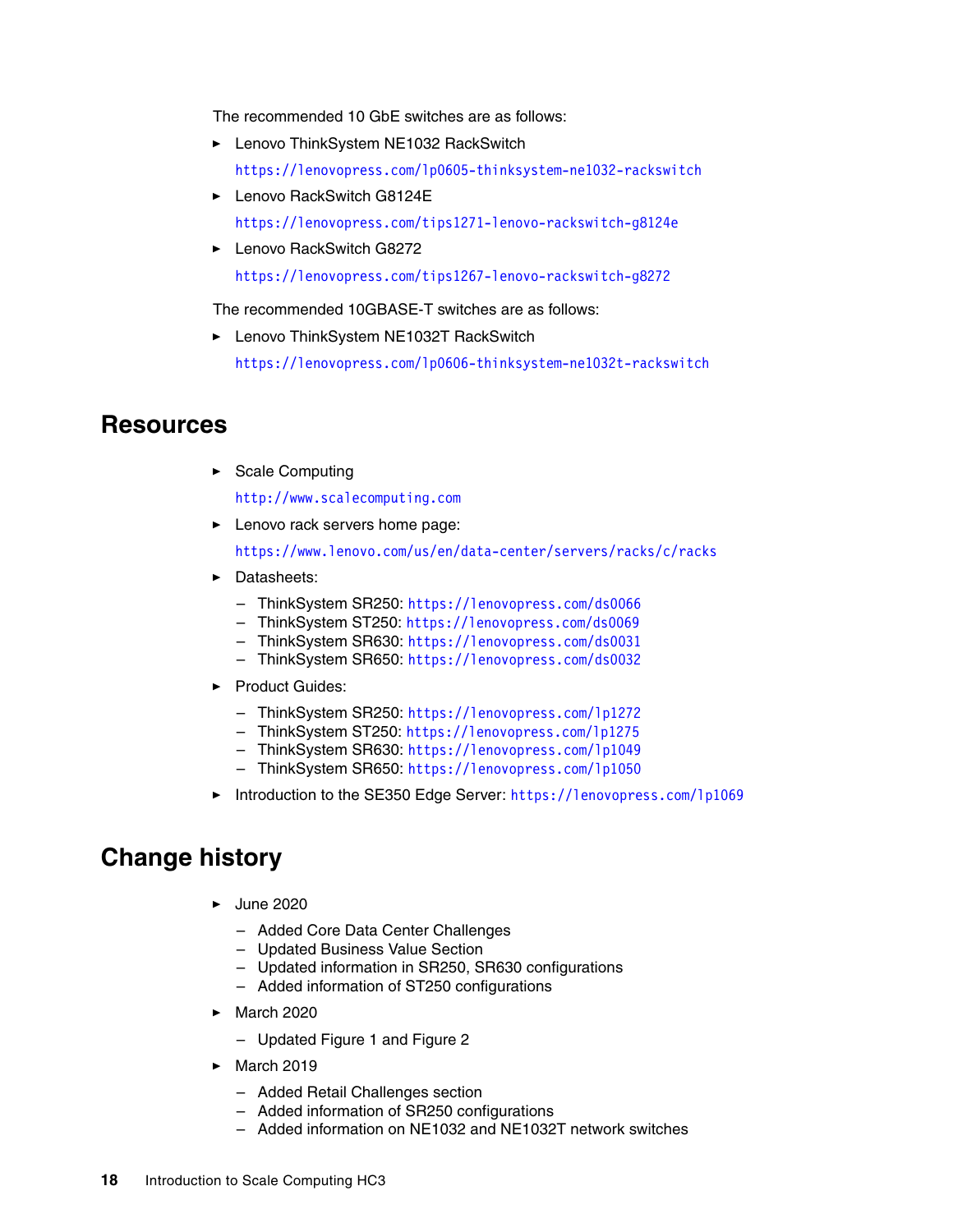The recommended 10 GbE switches are as follows:

- ► Lenovo ThinkSystem NE1032 RackSwitch <https://lenovopress.com/lp0605-thinksystem-ne1032-rackswitch>
- ► Lenovo RackSwitch G8124E <https://lenovopress.com/tips1271-lenovo-rackswitch-g8124e>
- ► Lenovo RackSwitch G8272 <https://lenovopress.com/tips1267-lenovo-rackswitch-g8272>

The recommended 10GBASE-T switches are as follows:

► Lenovo ThinkSystem NE1032T RackSwitch

<https://lenovopress.com/lp0606-thinksystem-ne1032t-rackswitch>

## <span id="page-17-0"></span>**Resources**

► Scale Computing

<http://www.scalecomputing.com>

**Example 2** Lenovo rack servers home page:

<https://www.lenovo.com/us/en/data-center/servers/racks/c/racks>

- Datasheets:
	- ThinkSystem SR250: <https://lenovopress.com/ds0066>
	- ThinkSystem ST250: <https://lenovopress.com/ds0069>
	- ThinkSystem SR630: <https://lenovopress.com/ds0031>
	- ThinkSystem SR650: <https://lenovopress.com/ds0032>
- Product Guides:
	- ThinkSystem SR250: <https://lenovopress.com/lp1272>
	- ThinkSystem ST250: <https://lenovopress.com/lp1275>
	- ThinkSystem SR630: <https://lenovopress.com/lp1049>
	- ThinkSystem SR650: <https://lenovopress.com/lp1050>
- -Introduction to the SE350 Edge Server: <https://lenovopress.com/lp1069>

# <span id="page-17-1"></span>**Change history**

- ► June 2020
	- Added Core Data Center Challenges
	- Updated Business Value Section
	- Updated information in SR250, SR630 configurations
	- Added information of ST250 configurations
- March 2020
	- Updated Figure 1 and Figure 2
- ► March 2019
	- Added Retail Challenges section
	- Added information of SR250 configurations
	- Added information on NE1032 and NE1032T network switches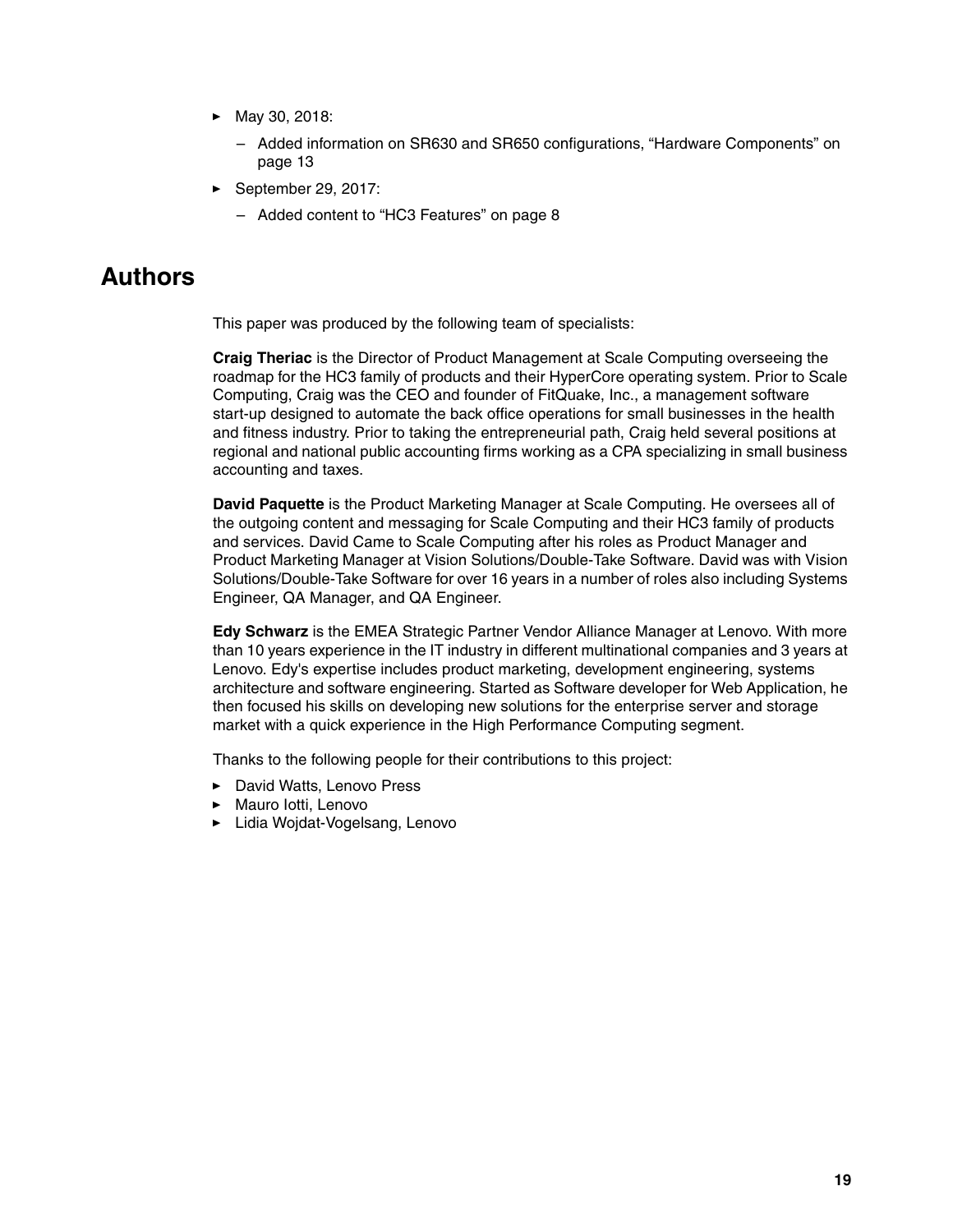- May 30, 2018:
	- Added information on SR630 and SR650 configurations, ["Hardware Components" on](#page-12-0)  [page 13](#page-12-0)
- ► September 29, 2017:
	- Added content to ["HC3 Features" on page 8](#page-7-0)

# <span id="page-18-0"></span>**Authors**

This paper was produced by the following team of specialists:

**Craig Theriac** is the Director of Product Management at Scale Computing overseeing the roadmap for the HC3 family of products and their HyperCore operating system. Prior to Scale Computing, Craig was the CEO and founder of FitQuake, Inc., a management software start-up designed to automate the back office operations for small businesses in the health and fitness industry. Prior to taking the entrepreneurial path, Craig held several positions at regional and national public accounting firms working as a CPA specializing in small business accounting and taxes.

**David Paquette** is the Product Marketing Manager at Scale Computing. He oversees all of the outgoing content and messaging for Scale Computing and their HC3 family of products and services. David Came to Scale Computing after his roles as Product Manager and Product Marketing Manager at Vision Solutions/Double-Take Software. David was with Vision Solutions/Double-Take Software for over 16 years in a number of roles also including Systems Engineer, QA Manager, and QA Engineer.

**Edy Schwarz** is the EMEA Strategic Partner Vendor Alliance Manager at Lenovo. With more than 10 years experience in the IT industry in different multinational companies and 3 years at Lenovo. Edy's expertise includes product marketing, development engineering, systems architecture and software engineering. Started as Software developer for Web Application, he then focused his skills on developing new solutions for the enterprise server and storage market with a quick experience in the High Performance Computing segment.

Thanks to the following people for their contributions to this project:

- ► David Watts, Lenovo Press
- ► Mauro lotti, Lenovo
- ► Lidia Wojdat-Vogelsang, Lenovo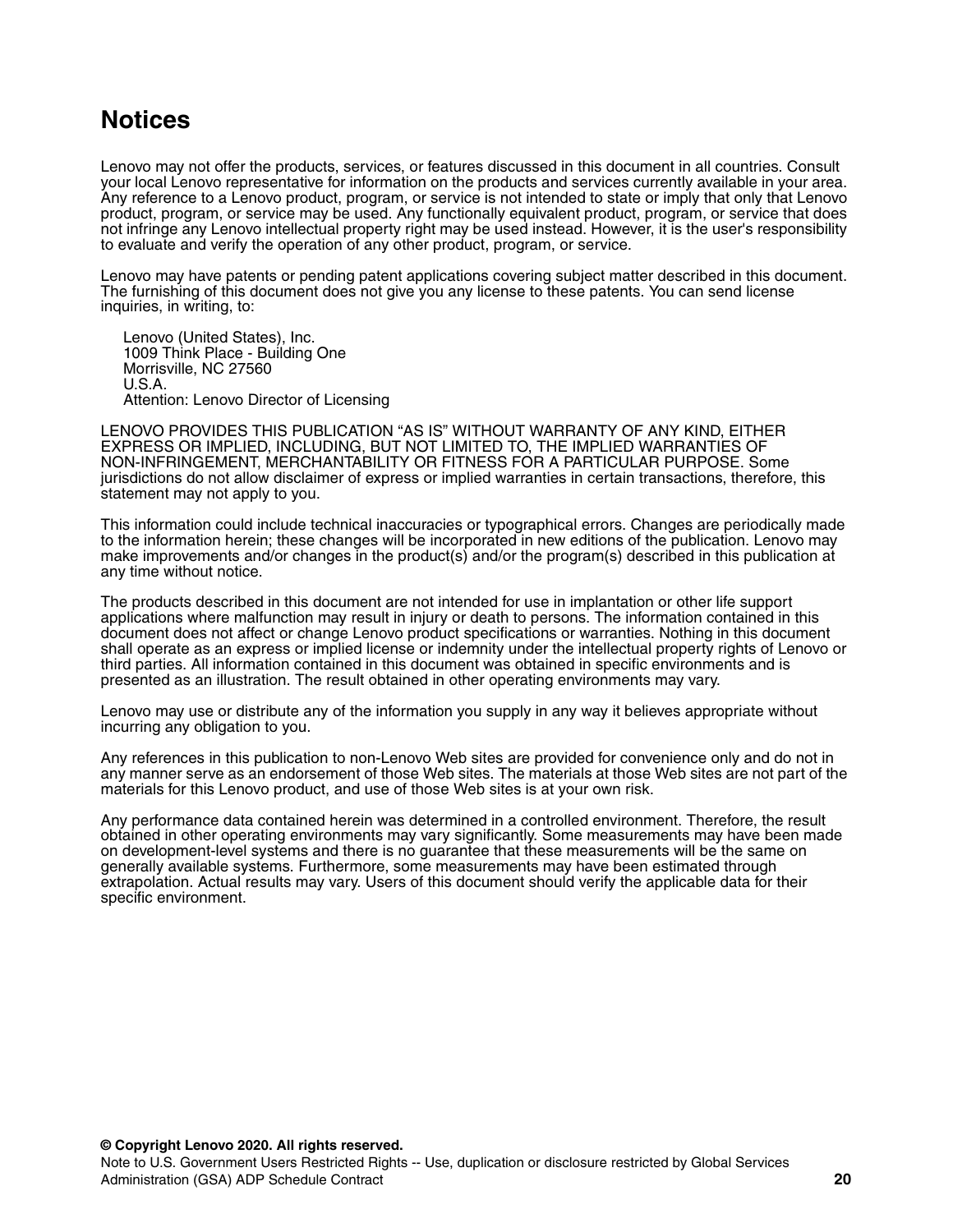# <span id="page-19-0"></span>**Notices**

Lenovo may not offer the products, services, or features discussed in this document in all countries. Consult your local Lenovo representative for information on the products and services currently available in your area. Any reference to a Lenovo product, program, or service is not intended to state or imply that only that Lenovo product, program, or service may be used. Any functionally equivalent product, program, or service that does not infringe any Lenovo intellectual property right may be used instead. However, it is the user's responsibility to evaluate and verify the operation of any other product, program, or service.

Lenovo may have patents or pending patent applications covering subject matter described in this document. The furnishing of this document does not give you any license to these patents. You can send license inquiries, in writing, to:

Lenovo (United States), Inc. 1009 Think Place - Building One Morrisville, NC 27560 U.S.A. Attention: Lenovo Director of Licensing

LENOVO PROVIDES THIS PUBLICATION "AS IS" WITHOUT WARRANTY OF ANY KIND, EITHER EXPRESS OR IMPLIED, INCLUDING, BUT NOT LIMITED TO, THE IMPLIED WARRANTIES OF NON-INFRINGEMENT, MERCHANTABILITY OR FITNESS FOR A PARTICULAR PURPOSE. Some jurisdictions do not allow disclaimer of express or implied warranties in certain transactions, therefore, this statement may not apply to you.

This information could include technical inaccuracies or typographical errors. Changes are periodically made to the information herein; these changes will be incorporated in new editions of the publication. Lenovo may make improvements and/or changes in the product(s) and/or the program(s) described in this publication at any time without notice.

The products described in this document are not intended for use in implantation or other life support applications where malfunction may result in injury or death to persons. The information contained in this document does not affect or change Lenovo product specifications or warranties. Nothing in this document shall operate as an express or implied license or indemnity under the intellectual property rights of Lenovo or third parties. All information contained in this document was obtained in specific environments and is presented as an illustration. The result obtained in other operating environments may vary.

Lenovo may use or distribute any of the information you supply in any way it believes appropriate without incurring any obligation to you.

Any references in this publication to non-Lenovo Web sites are provided for convenience only and do not in any manner serve as an endorsement of those Web sites. The materials at those Web sites are not part of the materials for this Lenovo product, and use of those Web sites is at your own risk.

Any performance data contained herein was determined in a controlled environment. Therefore, the result obtained in other operating environments may vary significantly. Some measurements may have been made on development-level systems and there is no guarantee that these measurements will be the same on generally available systems. Furthermore, some measurements may have been estimated through extrapolation. Actual results may vary. Users of this document should verify the applicable data for their specific environment.

**© Copyright Lenovo 2020. All rights reserved.**